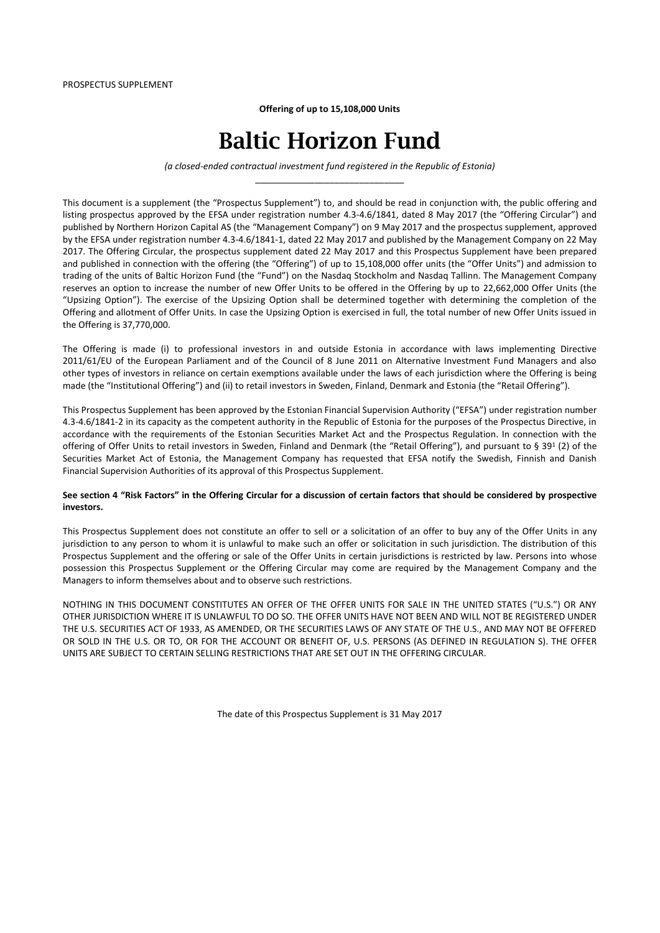**Offering of up to 15,108,000 Units**

# Baltic Horizon Fund

*(a closed-ended contractual investment fund registered in the Republic of Estonia)* \_\_\_\_\_\_\_\_\_\_\_\_\_\_\_\_\_\_\_\_\_\_\_\_\_\_\_\_\_\_

This document is a supplement (the "Prospectus Supplement") to, and should be read in conjunction with, the public offering and listing prospectus approved by the EFSA under registration number 4.3-4.6/1841, dated 8 May 2017 (the "Offering Circular") and published by Northern Horizon Capital AS (the "Management Company") on 9 May 2017 and the prospectus supplement, approved by the EFSA under registration number 4.3-4.6/1841-1, dated 22 May 2017 and published by the Management Company on 22 May 2017. The Offering Circular, the prospectus supplement dated 22 May 2017 and this Prospectus Supplement have been prepared and published in connection with the offering (the "Offering") of up to 15,108,000 offer units (the "Offer Units") and admission to trading of the units of Baltic Horizon Fund (the "Fund") on the Nasdaq Stockholm and Nasdaq Tallinn. The Management Company reserves an option to increase the number of new Offer Units to be offered in the Offering by up to 22,662,000 Offer Units (the "Upsizing Option"). The exercise of the Upsizing Option shall be determined together with determining the completion of the Offering and allotment of Offer Units. In case the Upsizing Option is exercised in full, the total number of new Offer Units issued in the Offering is 37,770,000.

The Offering is made (i) to professional investors in and outside Estonia in accordance with laws implementing Directive 2011/61/EU of the European Parliament and of the Council of 8 June 2011 on Alternative Investment Fund Managers and also other types of investors in reliance on certain exemptions available under the laws of each jurisdiction where the Offering is being made (the "Institutional Offering") and (ii) to retail investors in Sweden, Finland, Denmark and Estonia (the "Retail Offering").

This Prospectus Supplement has been approved by the Estonian Financial Supervision Authority ("EFSA") under registration number 4.3-4.6/1841-2 in its capacity as the competent authority in the Republic of Estonia for the purposes of the Prospectus Directive, in accordance with the requirements of the Estonian Securities Market Act and the Prospectus Regulation. In connection with the offering of Offer Units to retail investors in Sweden, Finland and Denmark (the "Retail Offering"), and pursuant to § 39<sup>1</sup> (2) of the Securities Market Act of Estonia, the Management Company has requested that EFSA notify the Swedish, Finnish and Danish Financial Supervision Authorities of its approval of this Prospectus Supplement.

#### **See section 4 "Risk Factors" in the Offering Circular for a discussion of certain factors that should be considered by prospective investors.**

This Prospectus Supplement does not constitute an offer to sell or a solicitation of an offer to buy any of the Offer Units in any jurisdiction to any person to whom it is unlawful to make such an offer or solicitation in such jurisdiction. The distribution of this Prospectus Supplement and the offering or sale of the Offer Units in certain jurisdictions is restricted by law. Persons into whose possession this Prospectus Supplement or the Offering Circular may come are required by the Management Company and the Managers to inform themselves about and to observe such restrictions.

NOTHING IN THIS DOCUMENT CONSTITUTES AN OFFER OF THE OFFER UNITS FOR SALE IN THE UNITED STATES ("U.S.") OR ANY OTHER JURISDICTION WHERE IT IS UNLAWFUL TO DO SO. THE OFFER UNITS HAVE NOT BEEN AND WILL NOT BE REGISTERED UNDER THE U.S. SECURITIES ACT OF 1933, AS AMENDED, OR THE SECURITIES LAWS OF ANY STATE OF THE U.S., AND MAY NOT BE OFFERED OR SOLD IN THE U.S. OR TO, OR FOR THE ACCOUNT OR BENEFIT OF, U.S. PERSONS (AS DEFINED IN REGULATION S). THE OFFER UNITS ARE SUBJECT TO CERTAIN SELLING RESTRICTIONS THAT ARE SET OUT IN THE OFFERING CIRCULAR.

The date of this Prospectus Supplement is 31 May 2017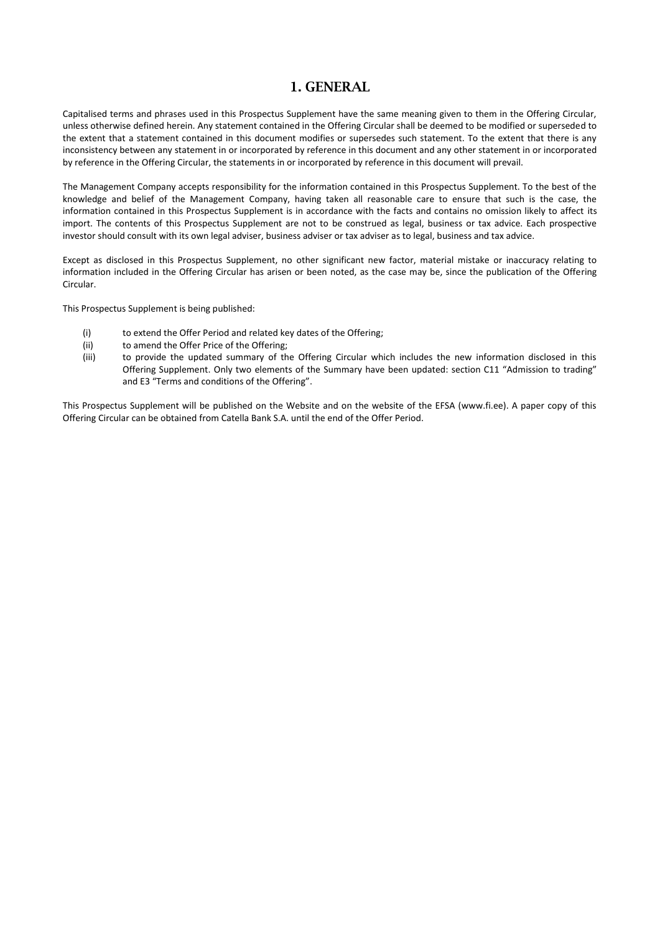### 1. GENERAL

Capitalised terms and phrases used in this Prospectus Supplement have the same meaning given to them in the Offering Circular, unless otherwise defined herein. Any statement contained in the Offering Circular shall be deemed to be modified or superseded to the extent that a statement contained in this document modifies or supersedes such statement. To the extent that there is any inconsistency between any statement in or incorporated by reference in this document and any other statement in or incorporated by reference in the Offering Circular, the statements in or incorporated by reference in this document will prevail.

The Management Company accepts responsibility for the information contained in this Prospectus Supplement. To the best of the knowledge and belief of the Management Company, having taken all reasonable care to ensure that such is the case, the information contained in this Prospectus Supplement is in accordance with the facts and contains no omission likely to affect its import. The contents of this Prospectus Supplement are not to be construed as legal, business or tax advice. Each prospective investor should consult with its own legal adviser, business adviser or tax adviser as to legal, business and tax advice.

Except as disclosed in this Prospectus Supplement, no other significant new factor, material mistake or inaccuracy relating to information included in the Offering Circular has arisen or been noted, as the case may be, since the publication of the Offering Circular.

This Prospectus Supplement is being published:

- (i) to extend the Offer Period and related key dates of the Offering;
- (ii) to amend the Offer Price of the Offering;
- (iii) to provide the updated summary of the Offering Circular which includes the new information disclosed in this Offering Supplement. Only two elements of the Summary have been updated: section C11 "Admission to trading" and E3 "Terms and conditions of the Offering".

This Prospectus Supplement will be published on the Website and on the website of the EFSA (www.fi.ee). A paper copy of this Offering Circular can be obtained from Catella Bank S.A. until the end of the Offer Period.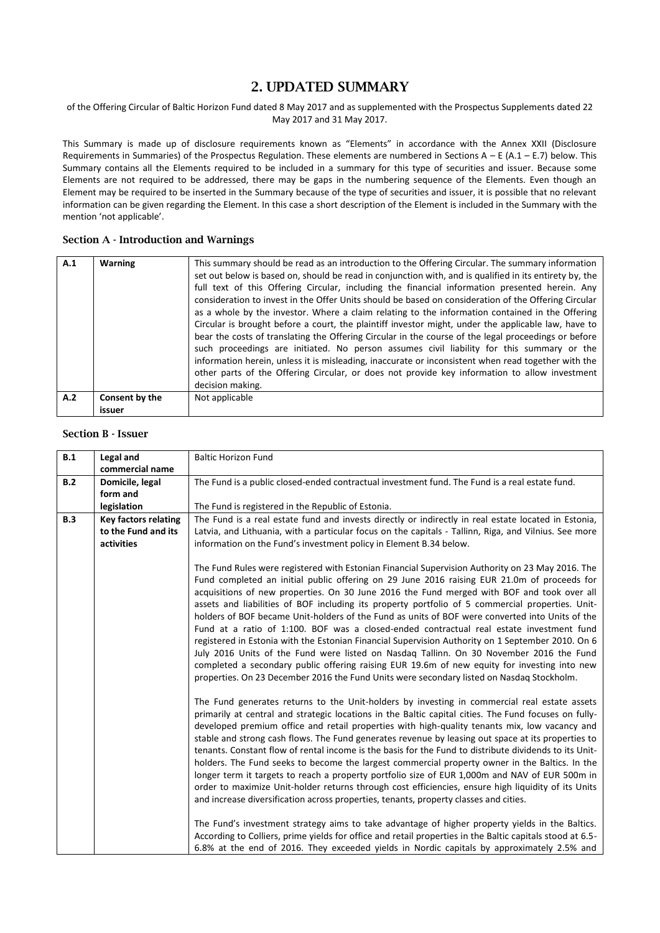### 2. UPDATED SUMMARY

#### of the Offering Circular of Baltic Horizon Fund dated 8 May 2017 and as supplemented with the Prospectus Supplements dated 22 May 2017 and 31 May 2017.

This Summary is made up of disclosure requirements known as "Elements" in accordance with the Annex XXII (Disclosure Requirements in Summaries) of the Prospectus Regulation. These elements are numbered in Sections  $A - E (A.1 - E.7)$  below. This Summary contains all the Elements required to be included in a summary for this type of securities and issuer. Because some Elements are not required to be addressed, there may be gaps in the numbering sequence of the Elements. Even though an Element may be required to be inserted in the Summary because of the type of securities and issuer, it is possible that no relevant information can be given regarding the Element. In this case a short description of the Element is included in the Summary with the mention 'not applicable'.

#### Section A - Introduction and Warnings

| A.1 | <b>Warning</b>           | This summary should be read as an introduction to the Offering Circular. The summary information<br>set out below is based on, should be read in conjunction with, and is qualified in its entirety by, the<br>full text of this Offering Circular, including the financial information presented herein. Any<br>consideration to invest in the Offer Units should be based on consideration of the Offering Circular<br>as a whole by the investor. Where a claim relating to the information contained in the Offering<br>Circular is brought before a court, the plaintiff investor might, under the applicable law, have to<br>bear the costs of translating the Offering Circular in the course of the legal proceedings or before<br>such proceedings are initiated. No person assumes civil liability for this summary or the<br>information herein, unless it is misleading, inaccurate or inconsistent when read together with the<br>other parts of the Offering Circular, or does not provide key information to allow investment<br>decision making. |
|-----|--------------------------|------------------------------------------------------------------------------------------------------------------------------------------------------------------------------------------------------------------------------------------------------------------------------------------------------------------------------------------------------------------------------------------------------------------------------------------------------------------------------------------------------------------------------------------------------------------------------------------------------------------------------------------------------------------------------------------------------------------------------------------------------------------------------------------------------------------------------------------------------------------------------------------------------------------------------------------------------------------------------------------------------------------------------------------------------------------|
| A.2 | Consent by the<br>issuer | Not applicable                                                                                                                                                                                                                                                                                                                                                                                                                                                                                                                                                                                                                                                                                                                                                                                                                                                                                                                                                                                                                                                   |

#### Section B - Issuer

| B.1 | Legal and<br>commercial name | <b>Baltic Horizon Fund</b>                                                                                                                                                                                                                                                                                                                                                                                                                                                                                                                                                                                                                                                                                                                                                                                                                                                                                                                                                                                                                                                                    |
|-----|------------------------------|-----------------------------------------------------------------------------------------------------------------------------------------------------------------------------------------------------------------------------------------------------------------------------------------------------------------------------------------------------------------------------------------------------------------------------------------------------------------------------------------------------------------------------------------------------------------------------------------------------------------------------------------------------------------------------------------------------------------------------------------------------------------------------------------------------------------------------------------------------------------------------------------------------------------------------------------------------------------------------------------------------------------------------------------------------------------------------------------------|
| B.2 | Domicile, legal              | The Fund is a public closed-ended contractual investment fund. The Fund is a real estate fund.                                                                                                                                                                                                                                                                                                                                                                                                                                                                                                                                                                                                                                                                                                                                                                                                                                                                                                                                                                                                |
|     | form and                     |                                                                                                                                                                                                                                                                                                                                                                                                                                                                                                                                                                                                                                                                                                                                                                                                                                                                                                                                                                                                                                                                                               |
|     | legislation                  | The Fund is registered in the Republic of Estonia.                                                                                                                                                                                                                                                                                                                                                                                                                                                                                                                                                                                                                                                                                                                                                                                                                                                                                                                                                                                                                                            |
| B.3 | <b>Key factors relating</b>  | The Fund is a real estate fund and invests directly or indirectly in real estate located in Estonia,                                                                                                                                                                                                                                                                                                                                                                                                                                                                                                                                                                                                                                                                                                                                                                                                                                                                                                                                                                                          |
|     | to the Fund and its          | Latvia, and Lithuania, with a particular focus on the capitals - Tallinn, Riga, and Vilnius. See more                                                                                                                                                                                                                                                                                                                                                                                                                                                                                                                                                                                                                                                                                                                                                                                                                                                                                                                                                                                         |
|     | activities                   | information on the Fund's investment policy in Element B.34 below.                                                                                                                                                                                                                                                                                                                                                                                                                                                                                                                                                                                                                                                                                                                                                                                                                                                                                                                                                                                                                            |
|     |                              | The Fund Rules were registered with Estonian Financial Supervision Authority on 23 May 2016. The<br>Fund completed an initial public offering on 29 June 2016 raising EUR 21.0m of proceeds for<br>acquisitions of new properties. On 30 June 2016 the Fund merged with BOF and took over all<br>assets and liabilities of BOF including its property portfolio of 5 commercial properties. Unit-<br>holders of BOF became Unit-holders of the Fund as units of BOF were converted into Units of the<br>Fund at a ratio of 1:100. BOF was a closed-ended contractual real estate investment fund<br>registered in Estonia with the Estonian Financial Supervision Authority on 1 September 2010. On 6<br>July 2016 Units of the Fund were listed on Nasdaq Tallinn. On 30 November 2016 the Fund<br>completed a secondary public offering raising EUR 19.6m of new equity for investing into new<br>properties. On 23 December 2016 the Fund Units were secondary listed on Nasdaq Stockholm.<br>The Fund generates returns to the Unit-holders by investing in commercial real estate assets |
|     |                              | primarily at central and strategic locations in the Baltic capital cities. The Fund focuses on fully-<br>developed premium office and retail properties with high-quality tenants mix, low vacancy and<br>stable and strong cash flows. The Fund generates revenue by leasing out space at its properties to<br>tenants. Constant flow of rental income is the basis for the Fund to distribute dividends to its Unit-<br>holders. The Fund seeks to become the largest commercial property owner in the Baltics. In the<br>longer term it targets to reach a property portfolio size of EUR 1,000m and NAV of EUR 500m in<br>order to maximize Unit-holder returns through cost efficiencies, ensure high liquidity of its Units<br>and increase diversification across properties, tenants, property classes and cities.                                                                                                                                                                                                                                                                    |
|     |                              | The Fund's investment strategy aims to take advantage of higher property yields in the Baltics.<br>According to Colliers, prime yields for office and retail properties in the Baltic capitals stood at 6.5-<br>6.8% at the end of 2016. They exceeded yields in Nordic capitals by approximately 2.5% and                                                                                                                                                                                                                                                                                                                                                                                                                                                                                                                                                                                                                                                                                                                                                                                    |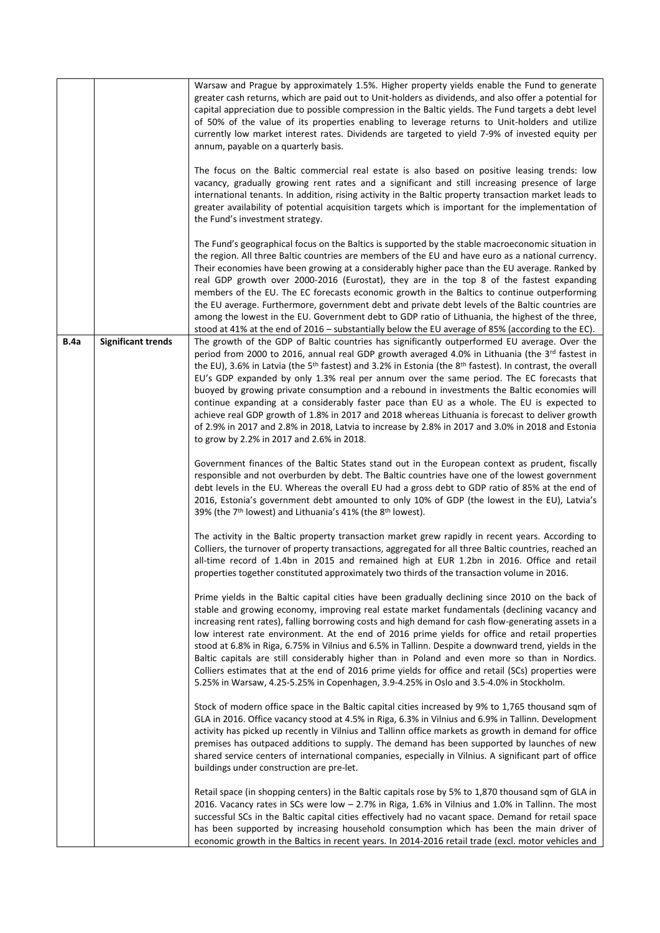|             |                           | Warsaw and Prague by approximately 1.5%. Higher property yields enable the Fund to generate<br>greater cash returns, which are paid out to Unit-holders as dividends, and also offer a potential for<br>capital appreciation due to possible compression in the Baltic yields. The Fund targets a debt level<br>of 50% of the value of its properties enabling to leverage returns to Unit-holders and utilize<br>currently low market interest rates. Dividends are targeted to yield 7-9% of invested equity per<br>annum, payable on a quarterly basis.                                                                                                                                                                                                                                                                                                                             |
|-------------|---------------------------|----------------------------------------------------------------------------------------------------------------------------------------------------------------------------------------------------------------------------------------------------------------------------------------------------------------------------------------------------------------------------------------------------------------------------------------------------------------------------------------------------------------------------------------------------------------------------------------------------------------------------------------------------------------------------------------------------------------------------------------------------------------------------------------------------------------------------------------------------------------------------------------|
|             |                           | The focus on the Baltic commercial real estate is also based on positive leasing trends: low<br>vacancy, gradually growing rent rates and a significant and still increasing presence of large<br>international tenants. In addition, rising activity in the Baltic property transaction market leads to<br>greater availability of potential acquisition targets which is important for the implementation of<br>the Fund's investment strategy.                                                                                                                                                                                                                                                                                                                                                                                                                                      |
|             |                           | The Fund's geographical focus on the Baltics is supported by the stable macroeconomic situation in<br>the region. All three Baltic countries are members of the EU and have euro as a national currency.<br>Their economies have been growing at a considerably higher pace than the EU average. Ranked by<br>real GDP growth over 2000-2016 (Eurostat), they are in the top 8 of the fastest expanding<br>members of the EU. The EC forecasts economic growth in the Baltics to continue outperforming<br>the EU average. Furthermore, government debt and private debt levels of the Baltic countries are<br>among the lowest in the EU. Government debt to GDP ratio of Lithuania, the highest of the three,<br>stood at 41% at the end of 2016 – substantially below the EU average of 85% (according to the EC).                                                                  |
| <b>B.4a</b> | <b>Significant trends</b> | The growth of the GDP of Baltic countries has significantly outperformed EU average. Over the<br>period from 2000 to 2016, annual real GDP growth averaged 4.0% in Lithuania (the 3rd fastest in<br>the EU), 3.6% in Latvia (the 5 <sup>th</sup> fastest) and 3.2% in Estonia (the 8 <sup>th</sup> fastest). In contrast, the overall<br>EU's GDP expanded by only 1.3% real per annum over the same period. The EC forecasts that<br>buoyed by growing private consumption and a rebound in investments the Baltic economies will<br>continue expanding at a considerably faster pace than EU as a whole. The EU is expected to<br>achieve real GDP growth of 1.8% in 2017 and 2018 whereas Lithuania is forecast to deliver growth<br>of 2.9% in 2017 and 2.8% in 2018, Latvia to increase by 2.8% in 2017 and 3.0% in 2018 and Estonia<br>to grow by 2.2% in 2017 and 2.6% in 2018. |
|             |                           | Government finances of the Baltic States stand out in the European context as prudent, fiscally<br>responsible and not overburden by debt. The Baltic countries have one of the lowest government<br>debt levels in the EU. Whereas the overall EU had a gross debt to GDP ratio of 85% at the end of<br>2016, Estonia's government debt amounted to only 10% of GDP (the lowest in the EU), Latvia's<br>39% (the 7 <sup>th</sup> lowest) and Lithuania's 41% (the 8 <sup>th</sup> lowest).                                                                                                                                                                                                                                                                                                                                                                                            |
|             |                           | The activity in the Baltic property transaction market grew rapidly in recent years. According to<br>Colliers, the turnover of property transactions, aggregated for all three Baltic countries, reached an<br>all-time record of 1.4bn in 2015 and remained high at EUR 1.2bn in 2016. Office and retail<br>properties together constituted approximately two thirds of the transaction volume in 2016.                                                                                                                                                                                                                                                                                                                                                                                                                                                                               |
|             |                           | Prime yields in the Baltic capital cities have been gradually declining since 2010 on the back of<br>stable and growing economy, improving real estate market fundamentals (declining vacancy and<br>increasing rent rates), falling borrowing costs and high demand for cash flow-generating assets in a<br>low interest rate environment. At the end of 2016 prime yields for office and retail properties<br>stood at 6.8% in Riga, 6.75% in Vilnius and 6.5% in Tallinn. Despite a downward trend, yields in the<br>Baltic capitals are still considerably higher than in Poland and even more so than in Nordics.<br>Colliers estimates that at the end of 2016 prime yields for office and retail (SCs) properties were<br>5.25% in Warsaw, 4.25-5.25% in Copenhagen, 3.9-4.25% in Oslo and 3.5-4.0% in Stockholm.                                                               |
|             |                           | Stock of modern office space in the Baltic capital cities increased by 9% to 1,765 thousand sqm of<br>GLA in 2016. Office vacancy stood at 4.5% in Riga, 6.3% in Vilnius and 6.9% in Tallinn. Development<br>activity has picked up recently in Vilnius and Tallinn office markets as growth in demand for office<br>premises has outpaced additions to supply. The demand has been supported by launches of new<br>shared service centers of international companies, especially in Vilnius. A significant part of office<br>buildings under construction are pre-let.                                                                                                                                                                                                                                                                                                                |
|             |                           | Retail space (in shopping centers) in the Baltic capitals rose by 5% to 1,870 thousand sqm of GLA in<br>2016. Vacancy rates in SCs were low - 2.7% in Riga, 1.6% in Vilnius and 1.0% in Tallinn. The most<br>successful SCs in the Baltic capital cities effectively had no vacant space. Demand for retail space<br>has been supported by increasing household consumption which has been the main driver of<br>economic growth in the Baltics in recent years. In 2014-2016 retail trade (excl. motor vehicles and                                                                                                                                                                                                                                                                                                                                                                   |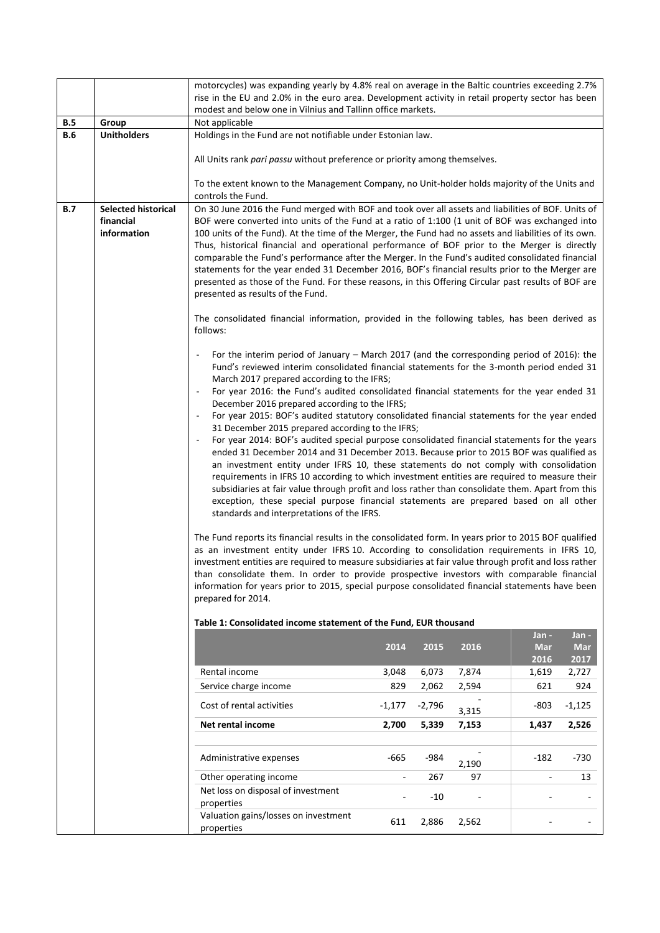|            |                                                        | motorcycles) was expanding yearly by 4.8% real on average in the Baltic countries exceeding 2.7%                                                                                                                                                                                                                                                                                                                                                                                                                                                                                                                                                                                                                                                                                                                                                                                                                                                                                                                                                                                                                                                                                                                                                                                                                                                                                                                                                                                                                                                                                                                                                                                                                                                                      |                                                             |          |       |            |            |  |  |  |
|------------|--------------------------------------------------------|-----------------------------------------------------------------------------------------------------------------------------------------------------------------------------------------------------------------------------------------------------------------------------------------------------------------------------------------------------------------------------------------------------------------------------------------------------------------------------------------------------------------------------------------------------------------------------------------------------------------------------------------------------------------------------------------------------------------------------------------------------------------------------------------------------------------------------------------------------------------------------------------------------------------------------------------------------------------------------------------------------------------------------------------------------------------------------------------------------------------------------------------------------------------------------------------------------------------------------------------------------------------------------------------------------------------------------------------------------------------------------------------------------------------------------------------------------------------------------------------------------------------------------------------------------------------------------------------------------------------------------------------------------------------------------------------------------------------------------------------------------------------------|-------------------------------------------------------------|----------|-------|------------|------------|--|--|--|
|            |                                                        | rise in the EU and 2.0% in the euro area. Development activity in retail property sector has been                                                                                                                                                                                                                                                                                                                                                                                                                                                                                                                                                                                                                                                                                                                                                                                                                                                                                                                                                                                                                                                                                                                                                                                                                                                                                                                                                                                                                                                                                                                                                                                                                                                                     |                                                             |          |       |            |            |  |  |  |
|            |                                                        | modest and below one in Vilnius and Tallinn office markets.<br>Not applicable                                                                                                                                                                                                                                                                                                                                                                                                                                                                                                                                                                                                                                                                                                                                                                                                                                                                                                                                                                                                                                                                                                                                                                                                                                                                                                                                                                                                                                                                                                                                                                                                                                                                                         |                                                             |          |       |            |            |  |  |  |
| <b>B.5</b> | Group                                                  |                                                                                                                                                                                                                                                                                                                                                                                                                                                                                                                                                                                                                                                                                                                                                                                                                                                                                                                                                                                                                                                                                                                                                                                                                                                                                                                                                                                                                                                                                                                                                                                                                                                                                                                                                                       |                                                             |          |       |            |            |  |  |  |
| <b>B.6</b> | <b>Unitholders</b>                                     |                                                                                                                                                                                                                                                                                                                                                                                                                                                                                                                                                                                                                                                                                                                                                                                                                                                                                                                                                                                                                                                                                                                                                                                                                                                                                                                                                                                                                                                                                                                                                                                                                                                                                                                                                                       | Holdings in the Fund are not notifiable under Estonian law. |          |       |            |            |  |  |  |
|            |                                                        | All Units rank pari passu without preference or priority among themselves.                                                                                                                                                                                                                                                                                                                                                                                                                                                                                                                                                                                                                                                                                                                                                                                                                                                                                                                                                                                                                                                                                                                                                                                                                                                                                                                                                                                                                                                                                                                                                                                                                                                                                            |                                                             |          |       |            |            |  |  |  |
|            |                                                        | To the extent known to the Management Company, no Unit-holder holds majority of the Units and<br>controls the Fund.                                                                                                                                                                                                                                                                                                                                                                                                                                                                                                                                                                                                                                                                                                                                                                                                                                                                                                                                                                                                                                                                                                                                                                                                                                                                                                                                                                                                                                                                                                                                                                                                                                                   |                                                             |          |       |            |            |  |  |  |
| B.7        | <b>Selected historical</b><br>financial<br>information | On 30 June 2016 the Fund merged with BOF and took over all assets and liabilities of BOF. Units of<br>BOF were converted into units of the Fund at a ratio of 1:100 (1 unit of BOF was exchanged into<br>100 units of the Fund). At the time of the Merger, the Fund had no assets and liabilities of its own.<br>Thus, historical financial and operational performance of BOF prior to the Merger is directly<br>comparable the Fund's performance after the Merger. In the Fund's audited consolidated financial<br>statements for the year ended 31 December 2016, BOF's financial results prior to the Merger are<br>presented as those of the Fund. For these reasons, in this Offering Circular past results of BOF are<br>presented as results of the Fund.<br>The consolidated financial information, provided in the following tables, has been derived as                                                                                                                                                                                                                                                                                                                                                                                                                                                                                                                                                                                                                                                                                                                                                                                                                                                                                                  |                                                             |          |       |            |            |  |  |  |
|            |                                                        | follows:                                                                                                                                                                                                                                                                                                                                                                                                                                                                                                                                                                                                                                                                                                                                                                                                                                                                                                                                                                                                                                                                                                                                                                                                                                                                                                                                                                                                                                                                                                                                                                                                                                                                                                                                                              |                                                             |          |       |            |            |  |  |  |
|            |                                                        | For the interim period of January - March 2017 (and the corresponding period of 2016): the<br>Fund's reviewed interim consolidated financial statements for the 3-month period ended 31<br>March 2017 prepared according to the IFRS;<br>For year 2016: the Fund's audited consolidated financial statements for the year ended 31<br>$\overline{\phantom{a}}$<br>December 2016 prepared according to the IFRS;<br>For year 2015: BOF's audited statutory consolidated financial statements for the year ended<br>$\overline{\phantom{a}}$<br>31 December 2015 prepared according to the IFRS;<br>For year 2014: BOF's audited special purpose consolidated financial statements for the years<br>ended 31 December 2014 and 31 December 2013. Because prior to 2015 BOF was qualified as<br>an investment entity under IFRS 10, these statements do not comply with consolidation<br>requirements in IFRS 10 according to which investment entities are required to measure their<br>subsidiaries at fair value through profit and loss rather than consolidate them. Apart from this<br>exception, these special purpose financial statements are prepared based on all other<br>standards and interpretations of the IFRS.<br>The Fund reports its financial results in the consolidated form. In years prior to 2015 BOF qualified<br>as an investment entity under IFRS 10. According to consolidation requirements in IFRS 10,<br>investment entities are required to measure subsidiaries at fair value through profit and loss rather<br>than consolidate them. In order to provide prospective investors with comparable financial<br>information for years prior to 2015, special purpose consolidated financial statements have been<br>prepared for 2014. |                                                             |          |       |            |            |  |  |  |
|            |                                                        | Table 1: Consolidated income statement of the Fund, EUR thousand                                                                                                                                                                                                                                                                                                                                                                                                                                                                                                                                                                                                                                                                                                                                                                                                                                                                                                                                                                                                                                                                                                                                                                                                                                                                                                                                                                                                                                                                                                                                                                                                                                                                                                      |                                                             |          |       |            |            |  |  |  |
|            |                                                        |                                                                                                                                                                                                                                                                                                                                                                                                                                                                                                                                                                                                                                                                                                                                                                                                                                                                                                                                                                                                                                                                                                                                                                                                                                                                                                                                                                                                                                                                                                                                                                                                                                                                                                                                                                       |                                                             |          |       | Jan -      | Jan -      |  |  |  |
|            |                                                        |                                                                                                                                                                                                                                                                                                                                                                                                                                                                                                                                                                                                                                                                                                                                                                                                                                                                                                                                                                                                                                                                                                                                                                                                                                                                                                                                                                                                                                                                                                                                                                                                                                                                                                                                                                       | 2014                                                        | 2015     | 2016  | <b>Mar</b> | <b>Mar</b> |  |  |  |
|            |                                                        |                                                                                                                                                                                                                                                                                                                                                                                                                                                                                                                                                                                                                                                                                                                                                                                                                                                                                                                                                                                                                                                                                                                                                                                                                                                                                                                                                                                                                                                                                                                                                                                                                                                                                                                                                                       |                                                             |          |       | 2016       | 2017       |  |  |  |
|            |                                                        | Rental income                                                                                                                                                                                                                                                                                                                                                                                                                                                                                                                                                                                                                                                                                                                                                                                                                                                                                                                                                                                                                                                                                                                                                                                                                                                                                                                                                                                                                                                                                                                                                                                                                                                                                                                                                         | 3,048                                                       | 6,073    | 7,874 | 1,619      | 2,727      |  |  |  |
|            |                                                        | Service charge income                                                                                                                                                                                                                                                                                                                                                                                                                                                                                                                                                                                                                                                                                                                                                                                                                                                                                                                                                                                                                                                                                                                                                                                                                                                                                                                                                                                                                                                                                                                                                                                                                                                                                                                                                 | 829                                                         | 2,062    | 2,594 | 621        | 924        |  |  |  |
|            |                                                        | Cost of rental activities                                                                                                                                                                                                                                                                                                                                                                                                                                                                                                                                                                                                                                                                                                                                                                                                                                                                                                                                                                                                                                                                                                                                                                                                                                                                                                                                                                                                                                                                                                                                                                                                                                                                                                                                             | $-1,177$                                                    | $-2,796$ | 3,315 | $-803$     | $-1,125$   |  |  |  |
|            |                                                        | Net rental income                                                                                                                                                                                                                                                                                                                                                                                                                                                                                                                                                                                                                                                                                                                                                                                                                                                                                                                                                                                                                                                                                                                                                                                                                                                                                                                                                                                                                                                                                                                                                                                                                                                                                                                                                     | 2,700                                                       | 5,339    | 7,153 | 1,437      | 2,526      |  |  |  |
|            |                                                        |                                                                                                                                                                                                                                                                                                                                                                                                                                                                                                                                                                                                                                                                                                                                                                                                                                                                                                                                                                                                                                                                                                                                                                                                                                                                                                                                                                                                                                                                                                                                                                                                                                                                                                                                                                       |                                                             |          |       |            |            |  |  |  |
|            |                                                        | Administrative expenses                                                                                                                                                                                                                                                                                                                                                                                                                                                                                                                                                                                                                                                                                                                                                                                                                                                                                                                                                                                                                                                                                                                                                                                                                                                                                                                                                                                                                                                                                                                                                                                                                                                                                                                                               | -665                                                        | -984     | 2,190 | $-182$     | $-730$     |  |  |  |
|            |                                                        | Other operating income                                                                                                                                                                                                                                                                                                                                                                                                                                                                                                                                                                                                                                                                                                                                                                                                                                                                                                                                                                                                                                                                                                                                                                                                                                                                                                                                                                                                                                                                                                                                                                                                                                                                                                                                                | $\blacksquare$                                              | 267      | 97    |            | 13         |  |  |  |
|            |                                                        | Net loss on disposal of investment<br>properties                                                                                                                                                                                                                                                                                                                                                                                                                                                                                                                                                                                                                                                                                                                                                                                                                                                                                                                                                                                                                                                                                                                                                                                                                                                                                                                                                                                                                                                                                                                                                                                                                                                                                                                      |                                                             | $-10$    |       |            |            |  |  |  |
|            |                                                        | Valuation gains/losses on investment<br>properties                                                                                                                                                                                                                                                                                                                                                                                                                                                                                                                                                                                                                                                                                                                                                                                                                                                                                                                                                                                                                                                                                                                                                                                                                                                                                                                                                                                                                                                                                                                                                                                                                                                                                                                    | 611                                                         | 2,886    | 2,562 |            |            |  |  |  |
|            |                                                        |                                                                                                                                                                                                                                                                                                                                                                                                                                                                                                                                                                                                                                                                                                                                                                                                                                                                                                                                                                                                                                                                                                                                                                                                                                                                                                                                                                                                                                                                                                                                                                                                                                                                                                                                                                       |                                                             |          |       |            |            |  |  |  |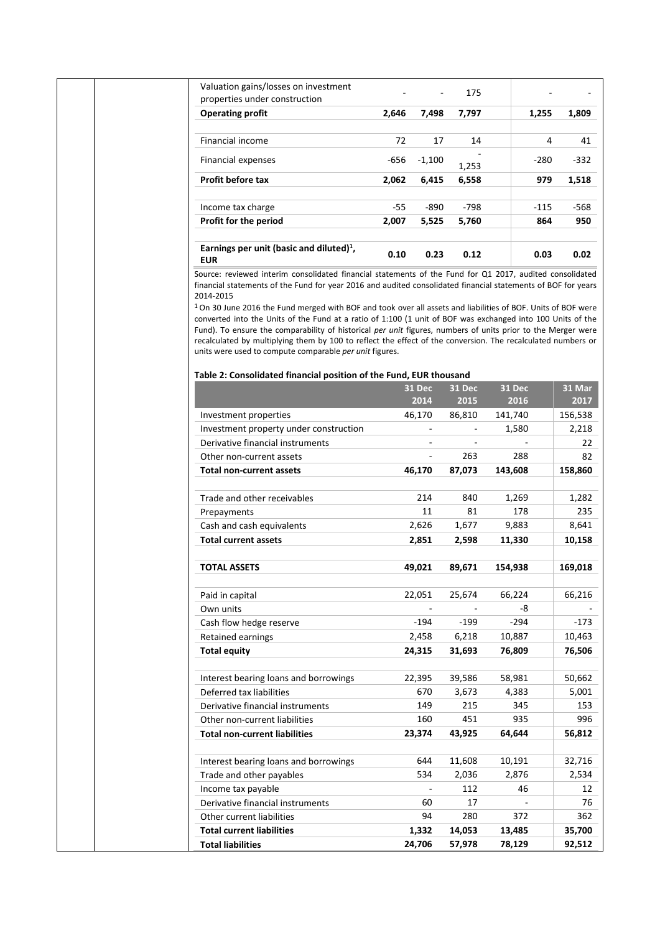| Valuation gains/losses on investment<br>properties under construction                                                                                                                                                                                                                                                                                                                                                                                                                                                                                                                                                                                                                                                                                                        |              |                          | 175           |               |             |
|------------------------------------------------------------------------------------------------------------------------------------------------------------------------------------------------------------------------------------------------------------------------------------------------------------------------------------------------------------------------------------------------------------------------------------------------------------------------------------------------------------------------------------------------------------------------------------------------------------------------------------------------------------------------------------------------------------------------------------------------------------------------------|--------------|--------------------------|---------------|---------------|-------------|
| <b>Operating profit</b>                                                                                                                                                                                                                                                                                                                                                                                                                                                                                                                                                                                                                                                                                                                                                      | 2,646        | 7,498                    | 7,797         | 1,255         | 1,809       |
|                                                                                                                                                                                                                                                                                                                                                                                                                                                                                                                                                                                                                                                                                                                                                                              |              |                          |               |               |             |
| Financial income                                                                                                                                                                                                                                                                                                                                                                                                                                                                                                                                                                                                                                                                                                                                                             | 72           | 17                       | 14            | 4             | 41          |
| Financial expenses                                                                                                                                                                                                                                                                                                                                                                                                                                                                                                                                                                                                                                                                                                                                                           | -656         | $-1,100$                 | 1,253         | $-280$        | -332        |
| <b>Profit before tax</b>                                                                                                                                                                                                                                                                                                                                                                                                                                                                                                                                                                                                                                                                                                                                                     | 2,062        | 6,415                    | 6,558         | 979           | 1,518       |
|                                                                                                                                                                                                                                                                                                                                                                                                                                                                                                                                                                                                                                                                                                                                                                              |              |                          |               |               |             |
| Income tax charge<br>Profit for the period                                                                                                                                                                                                                                                                                                                                                                                                                                                                                                                                                                                                                                                                                                                                   | -55<br>2,007 | $-890$<br>5,525          | -798<br>5,760 | -115<br>864   | -568<br>950 |
|                                                                                                                                                                                                                                                                                                                                                                                                                                                                                                                                                                                                                                                                                                                                                                              |              |                          |               |               |             |
| Earnings per unit (basic and diluted) $1$ ,<br><b>EUR</b>                                                                                                                                                                                                                                                                                                                                                                                                                                                                                                                                                                                                                                                                                                                    | 0.10         | 0.23                     | 0.12          | 0.03          | 0.02        |
| Source: reviewed interim consolidated financial statements of the Fund for Q1 2017, audited consolidated<br>financial statements of the Fund for year 2016 and audited consolidated financial statements of BOF for years<br>2014-2015<br><sup>1</sup> On 30 June 2016 the Fund merged with BOF and took over all assets and liabilities of BOF. Units of BOF were<br>converted into the Units of the Fund at a ratio of 1:100 (1 unit of BOF was exchanged into 100 Units of the<br>Fund). To ensure the comparability of historical per unit figures, numbers of units prior to the Merger were<br>recalculated by multiplying them by 100 to reflect the effect of the conversion. The recalculated numbers or<br>units were used to compute comparable per unit figures. |              |                          |               |               |             |
| Table 2: Consolidated financial position of the Fund, EUR thousand                                                                                                                                                                                                                                                                                                                                                                                                                                                                                                                                                                                                                                                                                                           |              |                          |               |               |             |
|                                                                                                                                                                                                                                                                                                                                                                                                                                                                                                                                                                                                                                                                                                                                                                              |              | <b>31 Dec</b>            | <b>31 Dec</b> | <b>31 Dec</b> | 31 Mar      |
|                                                                                                                                                                                                                                                                                                                                                                                                                                                                                                                                                                                                                                                                                                                                                                              |              | 2014                     | 2015          | 2016          | 2017        |
| Investment properties                                                                                                                                                                                                                                                                                                                                                                                                                                                                                                                                                                                                                                                                                                                                                        |              | 46,170                   | 86,810        | 141,740       | 156,538     |
| Investment property under construction                                                                                                                                                                                                                                                                                                                                                                                                                                                                                                                                                                                                                                                                                                                                       |              |                          |               | 1,580         | 2,218       |
| Derivative financial instruments                                                                                                                                                                                                                                                                                                                                                                                                                                                                                                                                                                                                                                                                                                                                             |              |                          |               |               | 22          |
| Other non-current assets                                                                                                                                                                                                                                                                                                                                                                                                                                                                                                                                                                                                                                                                                                                                                     |              |                          | 263           | 288           | 82          |
| Total non-current assets                                                                                                                                                                                                                                                                                                                                                                                                                                                                                                                                                                                                                                                                                                                                                     |              | 46,170                   | 87,073        | 143,608       | 158,860     |
| Trade and other receivables                                                                                                                                                                                                                                                                                                                                                                                                                                                                                                                                                                                                                                                                                                                                                  |              | 214                      | 840           | 1,269         | 1,282       |
| Prepayments                                                                                                                                                                                                                                                                                                                                                                                                                                                                                                                                                                                                                                                                                                                                                                  |              | 11                       | 81            | 178           | 235         |
| Cash and cash equivalents                                                                                                                                                                                                                                                                                                                                                                                                                                                                                                                                                                                                                                                                                                                                                    |              | 2,626                    | 1,677         | 9,883         | 8,641       |
| <b>Total current assets</b>                                                                                                                                                                                                                                                                                                                                                                                                                                                                                                                                                                                                                                                                                                                                                  |              | 2,851                    | 2,598         | 11,330        | 10,158      |
| <b>TOTAL ASSETS</b>                                                                                                                                                                                                                                                                                                                                                                                                                                                                                                                                                                                                                                                                                                                                                          |              | 49,021                   | 89,671        | 154,938       | 169,018     |
|                                                                                                                                                                                                                                                                                                                                                                                                                                                                                                                                                                                                                                                                                                                                                                              |              |                          |               |               |             |
| Paid in capital                                                                                                                                                                                                                                                                                                                                                                                                                                                                                                                                                                                                                                                                                                                                                              |              | 22,051                   | 25,674        | 66,224        | 66,216      |
| Own units                                                                                                                                                                                                                                                                                                                                                                                                                                                                                                                                                                                                                                                                                                                                                                    |              |                          |               | -8            |             |
| Cash flow hedge reserve                                                                                                                                                                                                                                                                                                                                                                                                                                                                                                                                                                                                                                                                                                                                                      |              | $-194$                   | -199          | $-294$        | $-173$      |
| <b>Retained earnings</b>                                                                                                                                                                                                                                                                                                                                                                                                                                                                                                                                                                                                                                                                                                                                                     |              | 2,458                    | 6,218         | 10,887        | 10,463      |
| <b>Total equity</b>                                                                                                                                                                                                                                                                                                                                                                                                                                                                                                                                                                                                                                                                                                                                                          |              | 24,315                   | 31,693        | 76,809        | 76,506      |
| Interest bearing loans and borrowings                                                                                                                                                                                                                                                                                                                                                                                                                                                                                                                                                                                                                                                                                                                                        |              | 22,395                   | 39,586        | 58,981        | 50,662      |
| Deferred tax liabilities                                                                                                                                                                                                                                                                                                                                                                                                                                                                                                                                                                                                                                                                                                                                                     |              | 670                      | 3,673         | 4,383         | 5,001       |
| Derivative financial instruments                                                                                                                                                                                                                                                                                                                                                                                                                                                                                                                                                                                                                                                                                                                                             |              | 149                      | 215           | 345           | 153         |
| Other non-current liabilities                                                                                                                                                                                                                                                                                                                                                                                                                                                                                                                                                                                                                                                                                                                                                |              | 160                      | 451           | 935           | 996         |
| <b>Total non-current liabilities</b>                                                                                                                                                                                                                                                                                                                                                                                                                                                                                                                                                                                                                                                                                                                                         |              | 23,374                   | 43,925        | 64,644        | 56,812      |
|                                                                                                                                                                                                                                                                                                                                                                                                                                                                                                                                                                                                                                                                                                                                                                              |              |                          |               |               |             |
| Interest bearing loans and borrowings                                                                                                                                                                                                                                                                                                                                                                                                                                                                                                                                                                                                                                                                                                                                        |              | 644                      | 11,608        | 10,191        | 32,716      |
| Trade and other payables                                                                                                                                                                                                                                                                                                                                                                                                                                                                                                                                                                                                                                                                                                                                                     |              | 534                      | 2,036         | 2,876         | 2,534       |
| Income tax payable                                                                                                                                                                                                                                                                                                                                                                                                                                                                                                                                                                                                                                                                                                                                                           |              | $\overline{\phantom{a}}$ | 112           | 46            | 12          |
|                                                                                                                                                                                                                                                                                                                                                                                                                                                                                                                                                                                                                                                                                                                                                                              |              |                          | 17            |               | 76          |
| Derivative financial instruments                                                                                                                                                                                                                                                                                                                                                                                                                                                                                                                                                                                                                                                                                                                                             |              | 60                       |               |               |             |
| Other current liabilities                                                                                                                                                                                                                                                                                                                                                                                                                                                                                                                                                                                                                                                                                                                                                    |              | 94                       | 280           | 372           | 362         |
| <b>Total current liabilities</b>                                                                                                                                                                                                                                                                                                                                                                                                                                                                                                                                                                                                                                                                                                                                             |              | 1,332                    | 14,053        | 13,485        | 35,700      |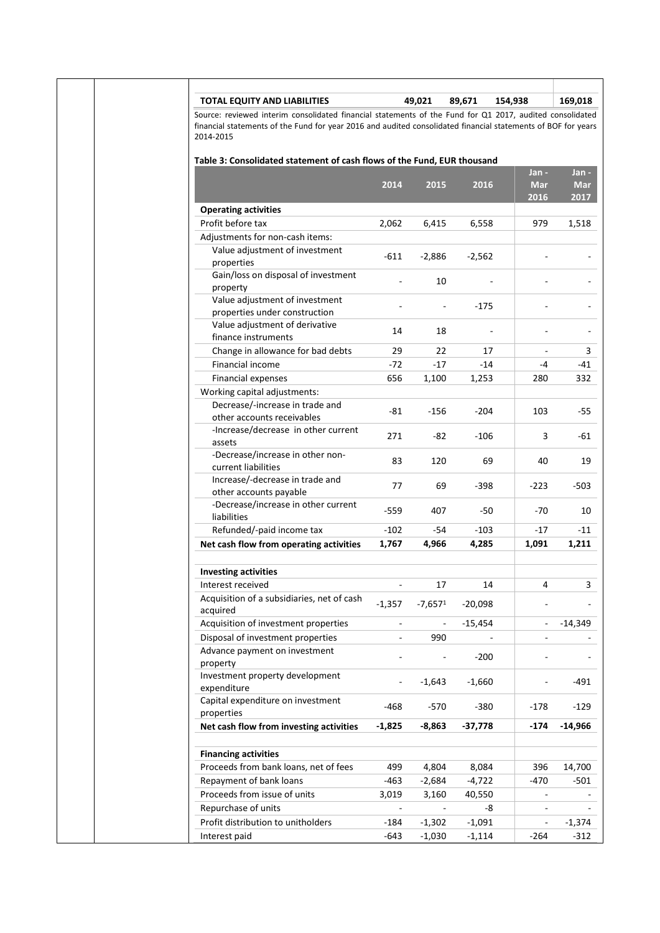| <b>TOTAL EQUITY AND LIABILITIES</b>                                                                                                                                                                                                    |                          | 49,021                   | 89,671    | 154,938                     | 169,018                     |
|----------------------------------------------------------------------------------------------------------------------------------------------------------------------------------------------------------------------------------------|--------------------------|--------------------------|-----------|-----------------------------|-----------------------------|
| Source: reviewed interim consolidated financial statements of the Fund for Q1 2017, audited consolidated<br>financial statements of the Fund for year 2016 and audited consolidated financial statements of BOF for years<br>2014-2015 |                          |                          |           |                             |                             |
| Table 3: Consolidated statement of cash flows of the Fund, EUR thousand                                                                                                                                                                |                          |                          |           |                             |                             |
|                                                                                                                                                                                                                                        | 2014                     | 2015                     | 2016      | Jan -<br><b>Mar</b><br>2016 | Jan -<br><b>Mar</b><br>2017 |
| <b>Operating activities</b>                                                                                                                                                                                                            |                          |                          |           |                             |                             |
| Profit before tax                                                                                                                                                                                                                      | 2,062                    | 6,415                    | 6,558     | 979                         | 1,518                       |
| Adjustments for non-cash items:                                                                                                                                                                                                        |                          |                          |           |                             |                             |
| Value adjustment of investment                                                                                                                                                                                                         |                          |                          |           |                             |                             |
| properties                                                                                                                                                                                                                             | $-611$                   | $-2,886$                 | $-2,562$  |                             |                             |
| Gain/loss on disposal of investment<br>property                                                                                                                                                                                        |                          | 10                       |           |                             |                             |
| Value adjustment of investment                                                                                                                                                                                                         |                          |                          |           |                             |                             |
| properties under construction                                                                                                                                                                                                          |                          | $\frac{1}{2}$            | -175      |                             |                             |
| Value adjustment of derivative<br>finance instruments                                                                                                                                                                                  | 14                       | 18                       |           |                             |                             |
| Change in allowance for bad debts                                                                                                                                                                                                      | 29                       | 22                       | 17        |                             | 3                           |
| Financial income                                                                                                                                                                                                                       | -72                      | $-17$                    | -14       | -4                          | -41                         |
| Financial expenses                                                                                                                                                                                                                     | 656                      | 1,100                    | 1,253     | 280                         | 332                         |
| Working capital adjustments:                                                                                                                                                                                                           |                          |                          |           |                             |                             |
| Decrease/-increase in trade and<br>other accounts receivables                                                                                                                                                                          | $-81$                    | $-156$                   | $-204$    | 103                         | $-55$                       |
| -Increase/decrease in other current<br>assets                                                                                                                                                                                          | 271                      | $-82$                    | -106      | 3                           | -61                         |
| -Decrease/increase in other non-<br>current liabilities                                                                                                                                                                                | 83                       | 120                      | 69        | 40                          | 19                          |
| Increase/-decrease in trade and<br>other accounts payable                                                                                                                                                                              | 77                       | 69                       | -398      | $-223$                      | $-503$                      |
| -Decrease/increase in other current<br>liabilities                                                                                                                                                                                     | $-559$                   | 407                      | -50       | -70                         | 10                          |
| Refunded/-paid income tax                                                                                                                                                                                                              | $-102$                   | -54                      | $-103$    | -17                         | -11                         |
| Net cash flow from operating activities                                                                                                                                                                                                | 1,767                    | 4,966                    | 4,285     | 1,091                       | 1,211                       |
|                                                                                                                                                                                                                                        |                          |                          |           |                             |                             |
| <b>Investing activities</b>                                                                                                                                                                                                            |                          |                          |           |                             |                             |
| Interest received                                                                                                                                                                                                                      | $\overline{\phantom{a}}$ | 17                       | 14        | 4                           | 3                           |
| Acquisition of a subsidiaries, net of cash<br>acquired                                                                                                                                                                                 | $-1,357$                 | $-7,6571$                | $-20,098$ |                             |                             |
| Acquisition of investment properties                                                                                                                                                                                                   |                          |                          | $-15,454$ |                             | -14,349                     |
| Disposal of investment properties                                                                                                                                                                                                      |                          | 990                      |           | $\overline{\phantom{a}}$    |                             |
| Advance payment on investment                                                                                                                                                                                                          |                          | $\overline{\phantom{a}}$ | $-200$    |                             |                             |
| property                                                                                                                                                                                                                               |                          |                          |           |                             |                             |
| Investment property development<br>expenditure                                                                                                                                                                                         |                          | $-1,643$                 | $-1,660$  |                             | -491                        |
| Capital expenditure on investment<br>properties                                                                                                                                                                                        | -468                     | $-570$                   | $-380$    | $-178$                      | $-129$                      |
| Net cash flow from investing activities                                                                                                                                                                                                | $-1,825$                 | -8,863                   | $-37,778$ | -174                        | -14,966                     |
| <b>Financing activities</b>                                                                                                                                                                                                            |                          |                          |           |                             |                             |
| Proceeds from bank loans, net of fees                                                                                                                                                                                                  | 499                      | 4,804                    | 8,084     | 396                         | 14,700                      |
| Repayment of bank loans                                                                                                                                                                                                                | $-463$                   | $-2,684$                 | $-4,722$  | -470                        | -501                        |
| Proceeds from issue of units                                                                                                                                                                                                           | 3,019                    | 3,160                    | 40,550    |                             |                             |
| Repurchase of units                                                                                                                                                                                                                    | $\blacksquare$           |                          | -8        | $\overline{\phantom{a}}$    |                             |
| Profit distribution to unitholders                                                                                                                                                                                                     | -184                     | $-1,302$                 | $-1,091$  | $\overline{\phantom{a}}$    | -1,374                      |
|                                                                                                                                                                                                                                        | $-643$                   |                          |           |                             |                             |
| Interest paid                                                                                                                                                                                                                          |                          | $-1,030$                 | $-1,114$  | -264                        | $-312$                      |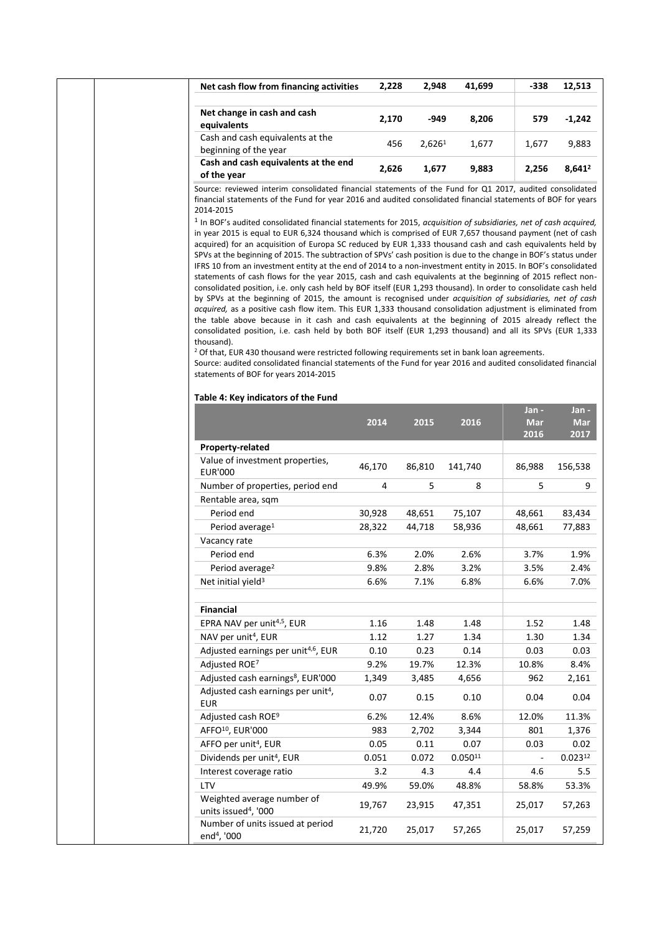| Net cash flow from financing activities                                                                                                                                                                                                                                                                                                                                                                                                                                                                                                                                                                                                                                                                                                                                                                                                                                                                                                                                                                                                                                                                                                                                                                                                                                                                                                                                                                      | 2,228  | 2,948              | 41,699       | -338        | 12,513             |
|--------------------------------------------------------------------------------------------------------------------------------------------------------------------------------------------------------------------------------------------------------------------------------------------------------------------------------------------------------------------------------------------------------------------------------------------------------------------------------------------------------------------------------------------------------------------------------------------------------------------------------------------------------------------------------------------------------------------------------------------------------------------------------------------------------------------------------------------------------------------------------------------------------------------------------------------------------------------------------------------------------------------------------------------------------------------------------------------------------------------------------------------------------------------------------------------------------------------------------------------------------------------------------------------------------------------------------------------------------------------------------------------------------------|--------|--------------------|--------------|-------------|--------------------|
| Net change in cash and cash<br>equivalents                                                                                                                                                                                                                                                                                                                                                                                                                                                                                                                                                                                                                                                                                                                                                                                                                                                                                                                                                                                                                                                                                                                                                                                                                                                                                                                                                                   | 2,170  | -949               | 8,206        | 579         | $-1,242$           |
| Cash and cash equivalents at the<br>beginning of the year                                                                                                                                                                                                                                                                                                                                                                                                                                                                                                                                                                                                                                                                                                                                                                                                                                                                                                                                                                                                                                                                                                                                                                                                                                                                                                                                                    | 456    | 2,626 <sup>1</sup> | 1,677        | 1,677       | 9,883              |
| Cash and cash equivalents at the end                                                                                                                                                                                                                                                                                                                                                                                                                                                                                                                                                                                                                                                                                                                                                                                                                                                                                                                                                                                                                                                                                                                                                                                                                                                                                                                                                                         | 2,626  | 1,677              | 9,883        | 2,256       | 8,641 <sup>2</sup> |
| of the year<br>Source: reviewed interim consolidated financial statements of the Fund for Q1 2017, audited consolidated                                                                                                                                                                                                                                                                                                                                                                                                                                                                                                                                                                                                                                                                                                                                                                                                                                                                                                                                                                                                                                                                                                                                                                                                                                                                                      |        |                    |              |             |                    |
| <sup>1</sup> In BOF's audited consolidated financial statements for 2015, acquisition of subsidiaries, net of cash acquired,<br>in year 2015 is equal to EUR 6,324 thousand which is comprised of EUR 7,657 thousand payment (net of cash<br>acquired) for an acquisition of Europa SC reduced by EUR 1,333 thousand cash and cash equivalents held by<br>SPVs at the beginning of 2015. The subtraction of SPVs' cash position is due to the change in BOF's status under<br>IFRS 10 from an investment entity at the end of 2014 to a non-investment entity in 2015. In BOF's consolidated<br>statements of cash flows for the year 2015, cash and cash equivalents at the beginning of 2015 reflect non-<br>consolidated position, i.e. only cash held by BOF itself (EUR 1,293 thousand). In order to consolidate cash held<br>by SPVs at the beginning of 2015, the amount is recognised under acquisition of subsidiaries, net of cash<br>acquired, as a positive cash flow item. This EUR 1,333 thousand consolidation adjustment is eliminated from<br>the table above because in it cash and cash equivalents at the beginning of 2015 already reflect the<br>consolidated position, i.e. cash held by both BOF itself (EUR 1,293 thousand) and all its SPVs (EUR 1,333<br>thousand).<br><sup>2</sup> Of that, EUR 430 thousand were restricted following requirements set in bank loan agreements. |        |                    |              |             |                    |
| Source: audited consolidated financial statements of the Fund for year 2016 and audited consolidated financial<br>statements of BOF for years 2014-2015<br>Table 4: Key indicators of the Fund                                                                                                                                                                                                                                                                                                                                                                                                                                                                                                                                                                                                                                                                                                                                                                                                                                                                                                                                                                                                                                                                                                                                                                                                               |        |                    |              | Jan -       | Jan -              |
|                                                                                                                                                                                                                                                                                                                                                                                                                                                                                                                                                                                                                                                                                                                                                                                                                                                                                                                                                                                                                                                                                                                                                                                                                                                                                                                                                                                                              | 2014   | 2015               | 2016         | Mar<br>2016 | <b>Mar</b><br>2017 |
| Property-related                                                                                                                                                                                                                                                                                                                                                                                                                                                                                                                                                                                                                                                                                                                                                                                                                                                                                                                                                                                                                                                                                                                                                                                                                                                                                                                                                                                             |        |                    |              |             |                    |
| Value of investment properties,<br><b>EUR'000</b>                                                                                                                                                                                                                                                                                                                                                                                                                                                                                                                                                                                                                                                                                                                                                                                                                                                                                                                                                                                                                                                                                                                                                                                                                                                                                                                                                            | 46,170 | 86,810             | 141,740      | 86,988      | 156,538            |
| Number of properties, period end                                                                                                                                                                                                                                                                                                                                                                                                                                                                                                                                                                                                                                                                                                                                                                                                                                                                                                                                                                                                                                                                                                                                                                                                                                                                                                                                                                             | 4      | 5                  | 8            | 5           |                    |
| Rentable area, sqm                                                                                                                                                                                                                                                                                                                                                                                                                                                                                                                                                                                                                                                                                                                                                                                                                                                                                                                                                                                                                                                                                                                                                                                                                                                                                                                                                                                           |        |                    |              |             |                    |
| Period end                                                                                                                                                                                                                                                                                                                                                                                                                                                                                                                                                                                                                                                                                                                                                                                                                                                                                                                                                                                                                                                                                                                                                                                                                                                                                                                                                                                                   | 30,928 | 48,651             | 75,107       | 48,661      | 83,434             |
| Period average <sup>1</sup>                                                                                                                                                                                                                                                                                                                                                                                                                                                                                                                                                                                                                                                                                                                                                                                                                                                                                                                                                                                                                                                                                                                                                                                                                                                                                                                                                                                  | 28,322 | 44,718             | 58,936       | 48,661      | 77,883             |
| Vacancy rate                                                                                                                                                                                                                                                                                                                                                                                                                                                                                                                                                                                                                                                                                                                                                                                                                                                                                                                                                                                                                                                                                                                                                                                                                                                                                                                                                                                                 |        |                    |              |             |                    |
| Period end                                                                                                                                                                                                                                                                                                                                                                                                                                                                                                                                                                                                                                                                                                                                                                                                                                                                                                                                                                                                                                                                                                                                                                                                                                                                                                                                                                                                   | 6.3%   | 2.0%               | 2.6%         | 3.7%        | 1.9%               |
| Period average <sup>2</sup>                                                                                                                                                                                                                                                                                                                                                                                                                                                                                                                                                                                                                                                                                                                                                                                                                                                                                                                                                                                                                                                                                                                                                                                                                                                                                                                                                                                  | 9.8%   | 2.8%               | 3.2%         | 3.5%        | 2.4%               |
| Net initial yield <sup>3</sup>                                                                                                                                                                                                                                                                                                                                                                                                                                                                                                                                                                                                                                                                                                                                                                                                                                                                                                                                                                                                                                                                                                                                                                                                                                                                                                                                                                               | 6.6%   | 7.1%               | 6.8%         | 6.6%        | 7.0%               |
| <b>Financial</b>                                                                                                                                                                                                                                                                                                                                                                                                                                                                                                                                                                                                                                                                                                                                                                                                                                                                                                                                                                                                                                                                                                                                                                                                                                                                                                                                                                                             |        |                    |              |             |                    |
| EPRA NAV per unit <sup>4,5</sup> , EUR                                                                                                                                                                                                                                                                                                                                                                                                                                                                                                                                                                                                                                                                                                                                                                                                                                                                                                                                                                                                                                                                                                                                                                                                                                                                                                                                                                       | 1.16   | 1.48               | 1.48         | 1.52        | 1.48               |
| NAV per unit <sup>4</sup> , EUR                                                                                                                                                                                                                                                                                                                                                                                                                                                                                                                                                                                                                                                                                                                                                                                                                                                                                                                                                                                                                                                                                                                                                                                                                                                                                                                                                                              | 1.12   | 1.27               | 1.34         | 1.30        | 1.34               |
| Adjusted earnings per unit <sup>4,6</sup> , EUR                                                                                                                                                                                                                                                                                                                                                                                                                                                                                                                                                                                                                                                                                                                                                                                                                                                                                                                                                                                                                                                                                                                                                                                                                                                                                                                                                              | 0.10   | 0.23               | 0.14         | 0.03        | 0.03               |
| Adjusted ROE7                                                                                                                                                                                                                                                                                                                                                                                                                                                                                                                                                                                                                                                                                                                                                                                                                                                                                                                                                                                                                                                                                                                                                                                                                                                                                                                                                                                                | 9.2%   | 19.7%              | 12.3%        | 10.8%       | 8.4%               |
| Adjusted cash earnings <sup>8</sup> , EUR'000                                                                                                                                                                                                                                                                                                                                                                                                                                                                                                                                                                                                                                                                                                                                                                                                                                                                                                                                                                                                                                                                                                                                                                                                                                                                                                                                                                | 1,349  | 3,485              | 4,656        | 962         | 2,161              |
| Adjusted cash earnings per unit <sup>4</sup> ,<br><b>EUR</b>                                                                                                                                                                                                                                                                                                                                                                                                                                                                                                                                                                                                                                                                                                                                                                                                                                                                                                                                                                                                                                                                                                                                                                                                                                                                                                                                                 | 0.07   | 0.15               | 0.10         | 0.04        | 0.04               |
| Adjusted cash ROE <sup>9</sup>                                                                                                                                                                                                                                                                                                                                                                                                                                                                                                                                                                                                                                                                                                                                                                                                                                                                                                                                                                                                                                                                                                                                                                                                                                                                                                                                                                               | 6.2%   | 12.4%              | 8.6%         | 12.0%       | 11.3%              |
| AFFO <sup>10</sup> , EUR'000                                                                                                                                                                                                                                                                                                                                                                                                                                                                                                                                                                                                                                                                                                                                                                                                                                                                                                                                                                                                                                                                                                                                                                                                                                                                                                                                                                                 | 983    | 2,702              | 3,344        | 801         | 1,376              |
| AFFO per unit <sup>4</sup> , EUR                                                                                                                                                                                                                                                                                                                                                                                                                                                                                                                                                                                                                                                                                                                                                                                                                                                                                                                                                                                                                                                                                                                                                                                                                                                                                                                                                                             | 0.05   | 0.11               | 0.07         | 0.03        | 0.02               |
| Dividends per unit <sup>4</sup> , EUR                                                                                                                                                                                                                                                                                                                                                                                                                                                                                                                                                                                                                                                                                                                                                                                                                                                                                                                                                                                                                                                                                                                                                                                                                                                                                                                                                                        | 0.051  | 0.072              | $0.050^{11}$ |             | $0.023^{12}$       |
| Interest coverage ratio                                                                                                                                                                                                                                                                                                                                                                                                                                                                                                                                                                                                                                                                                                                                                                                                                                                                                                                                                                                                                                                                                                                                                                                                                                                                                                                                                                                      | 3.2    | 4.3                | 4.4          | 4.6         | 5.5                |
| LTV                                                                                                                                                                                                                                                                                                                                                                                                                                                                                                                                                                                                                                                                                                                                                                                                                                                                                                                                                                                                                                                                                                                                                                                                                                                                                                                                                                                                          | 49.9%  | 59.0%              | 48.8%        | 58.8%       | 53.3%              |
| Weighted average number of<br>units issued <sup>4</sup> , '000                                                                                                                                                                                                                                                                                                                                                                                                                                                                                                                                                                                                                                                                                                                                                                                                                                                                                                                                                                                                                                                                                                                                                                                                                                                                                                                                               | 19,767 | 23,915             | 47,351       | 25,017      | 57,263             |
| Number of units issued at period<br>end <sup>4</sup> , '000                                                                                                                                                                                                                                                                                                                                                                                                                                                                                                                                                                                                                                                                                                                                                                                                                                                                                                                                                                                                                                                                                                                                                                                                                                                                                                                                                  | 21,720 | 25,017             | 57,265       | 25,017      | 57,259             |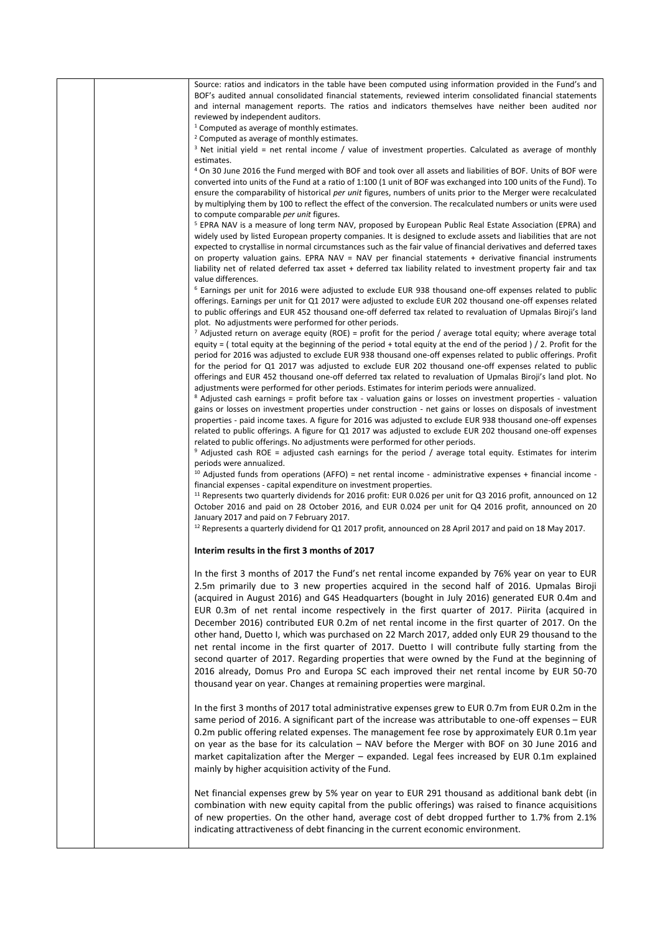|  | Source: ratios and indicators in the table have been computed using information provided in the Fund's and                                                                                                                                    |
|--|-----------------------------------------------------------------------------------------------------------------------------------------------------------------------------------------------------------------------------------------------|
|  | BOF's audited annual consolidated financial statements, reviewed interim consolidated financial statements                                                                                                                                    |
|  | and internal management reports. The ratios and indicators themselves have neither been audited nor<br>reviewed by independent auditors.                                                                                                      |
|  | $1$ Computed as average of monthly estimates.                                                                                                                                                                                                 |
|  | <sup>2</sup> Computed as average of monthly estimates.                                                                                                                                                                                        |
|  | $3$ Net initial yield = net rental income / value of investment properties. Calculated as average of monthly                                                                                                                                  |
|  | estimates.                                                                                                                                                                                                                                    |
|  | <sup>4</sup> On 30 June 2016 the Fund merged with BOF and took over all assets and liabilities of BOF. Units of BOF were<br>converted into units of the Fund at a ratio of 1:100 (1 unit of BOF was exchanged into 100 units of the Fund). To |
|  | ensure the comparability of historical per unit figures, numbers of units prior to the Merger were recalculated                                                                                                                               |
|  | by multiplying them by 100 to reflect the effect of the conversion. The recalculated numbers or units were used                                                                                                                               |
|  | to compute comparable per unit figures.                                                                                                                                                                                                       |
|  | <sup>5</sup> EPRA NAV is a measure of long term NAV, proposed by European Public Real Estate Association (EPRA) and                                                                                                                           |
|  | widely used by listed European property companies. It is designed to exclude assets and liabilities that are not<br>expected to crystallise in normal circumstances such as the fair value of financial derivatives and deferred taxes        |
|  | on property valuation gains. EPRA NAV = NAV per financial statements + derivative financial instruments                                                                                                                                       |
|  | liability net of related deferred tax asset + deferred tax liability related to investment property fair and tax                                                                                                                              |
|  | value differences.                                                                                                                                                                                                                            |
|  | <sup>6</sup> Earnings per unit for 2016 were adjusted to exclude EUR 938 thousand one-off expenses related to public                                                                                                                          |
|  | offerings. Earnings per unit for Q1 2017 were adjusted to exclude EUR 202 thousand one-off expenses related<br>to public offerings and EUR 452 thousand one-off deferred tax related to revaluation of Upmalas Biroji's land                  |
|  | plot. No adjustments were performed for other periods.                                                                                                                                                                                        |
|  | $^7$ Adjusted return on average equity (ROE) = profit for the period / average total equity; where average total                                                                                                                              |
|  | equity = (total equity at the beginning of the period + total equity at the end of the period) / 2. Profit for the                                                                                                                            |
|  | period for 2016 was adjusted to exclude EUR 938 thousand one-off expenses related to public offerings. Profit                                                                                                                                 |
|  | for the period for Q1 2017 was adjusted to exclude EUR 202 thousand one-off expenses related to public                                                                                                                                        |
|  | offerings and EUR 452 thousand one-off deferred tax related to revaluation of Upmalas Biroji's land plot. No<br>adjustments were performed for other periods. Estimates for interim periods were annualized.                                  |
|  | <sup>8</sup> Adjusted cash earnings = profit before tax - valuation gains or losses on investment properties - valuation                                                                                                                      |
|  | gains or losses on investment properties under construction - net gains or losses on disposals of investment                                                                                                                                  |
|  | properties - paid income taxes. A figure for 2016 was adjusted to exclude EUR 938 thousand one-off expenses                                                                                                                                   |
|  | related to public offerings. A figure for Q1 2017 was adjusted to exclude EUR 202 thousand one-off expenses                                                                                                                                   |
|  | related to public offerings. No adjustments were performed for other periods.                                                                                                                                                                 |
|  | <sup>9</sup> Adjusted cash ROE = adjusted cash earnings for the period / average total equity. Estimates for interim<br>periods were annualized.                                                                                              |
|  | $10$ Adjusted funds from operations (AFFO) = net rental income - administrative expenses + financial income -                                                                                                                                 |
|  | financial expenses - capital expenditure on investment properties.                                                                                                                                                                            |
|  | <sup>11</sup> Represents two quarterly dividends for 2016 profit: EUR 0.026 per unit for Q3 2016 profit, announced on 12                                                                                                                      |
|  | October 2016 and paid on 28 October 2016, and EUR 0.024 per unit for Q4 2016 profit, announced on 20                                                                                                                                          |
|  | January 2017 and paid on 7 February 2017.<br><sup>12</sup> Represents a quarterly dividend for Q1 2017 profit, announced on 28 April 2017 and paid on 18 May 2017.                                                                            |
|  |                                                                                                                                                                                                                                               |
|  | Interim results in the first 3 months of 2017                                                                                                                                                                                                 |
|  |                                                                                                                                                                                                                                               |
|  | In the first 3 months of 2017 the Fund's net rental income expanded by 76% year on year to EUR                                                                                                                                                |
|  | 2.5m primarily due to 3 new properties acquired in the second half of 2016. Upmalas Biroji<br>(acquired in August 2016) and G4S Headquarters (bought in July 2016) generated EUR 0.4m and                                                     |
|  | EUR 0.3m of net rental income respectively in the first quarter of 2017. Piirita (acquired in                                                                                                                                                 |
|  | December 2016) contributed EUR 0.2m of net rental income in the first quarter of 2017. On the                                                                                                                                                 |
|  | other hand, Duetto I, which was purchased on 22 March 2017, added only EUR 29 thousand to the                                                                                                                                                 |
|  | net rental income in the first quarter of 2017. Duetto I will contribute fully starting from the                                                                                                                                              |
|  | second quarter of 2017. Regarding properties that were owned by the Fund at the beginning of                                                                                                                                                  |
|  | 2016 already, Domus Pro and Europa SC each improved their net rental income by EUR 50-70                                                                                                                                                      |
|  | thousand year on year. Changes at remaining properties were marginal.                                                                                                                                                                         |
|  |                                                                                                                                                                                                                                               |
|  | In the first 3 months of 2017 total administrative expenses grew to EUR 0.7m from EUR 0.2m in the                                                                                                                                             |
|  | same period of 2016. A significant part of the increase was attributable to one-off expenses - EUR                                                                                                                                            |
|  | 0.2m public offering related expenses. The management fee rose by approximately EUR 0.1m year                                                                                                                                                 |
|  | on year as the base for its calculation - NAV before the Merger with BOF on 30 June 2016 and                                                                                                                                                  |
|  | market capitalization after the Merger - expanded. Legal fees increased by EUR 0.1m explained                                                                                                                                                 |
|  | mainly by higher acquisition activity of the Fund.                                                                                                                                                                                            |
|  |                                                                                                                                                                                                                                               |
|  | Net financial expenses grew by 5% year on year to EUR 291 thousand as additional bank debt (in<br>combination with new equity capital from the public offerings) was raised to finance acquisitions                                           |
|  | of new properties. On the other hand, average cost of debt dropped further to 1.7% from 2.1%                                                                                                                                                  |
|  | indicating attractiveness of debt financing in the current economic environment.                                                                                                                                                              |
|  |                                                                                                                                                                                                                                               |
|  |                                                                                                                                                                                                                                               |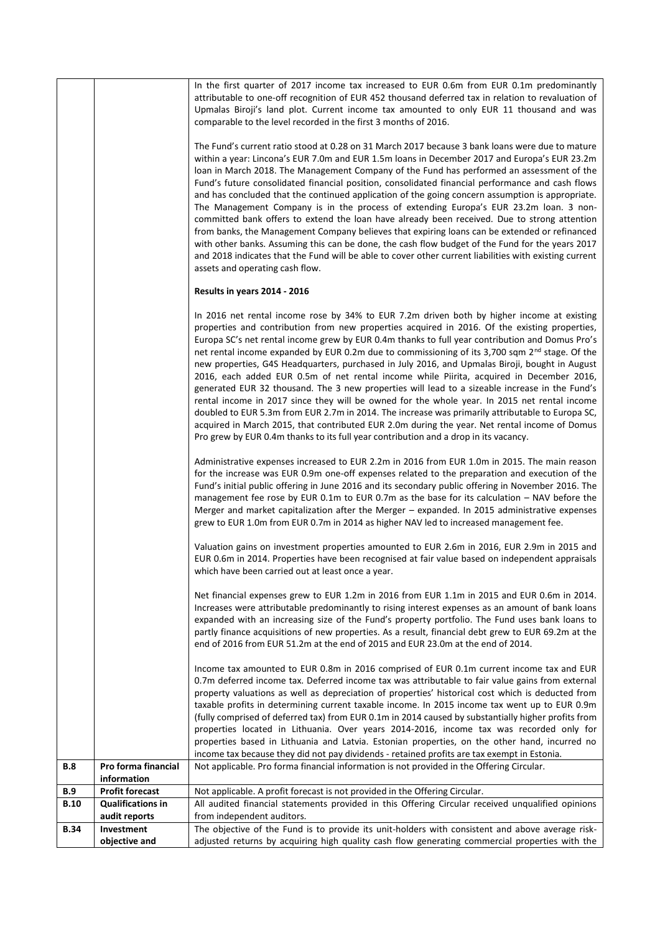|                    |                                                    | In the first quarter of 2017 income tax increased to EUR 0.6m from EUR 0.1m predominantly                                                                                                            |
|--------------------|----------------------------------------------------|------------------------------------------------------------------------------------------------------------------------------------------------------------------------------------------------------|
|                    |                                                    | attributable to one-off recognition of EUR 452 thousand deferred tax in relation to revaluation of                                                                                                   |
|                    |                                                    | Upmalas Biroji's land plot. Current income tax amounted to only EUR 11 thousand and was                                                                                                              |
|                    |                                                    | comparable to the level recorded in the first 3 months of 2016.                                                                                                                                      |
|                    |                                                    | The Fund's current ratio stood at 0.28 on 31 March 2017 because 3 bank loans were due to mature                                                                                                      |
|                    |                                                    | within a year: Lincona's EUR 7.0m and EUR 1.5m loans in December 2017 and Europa's EUR 23.2m                                                                                                         |
|                    |                                                    | loan in March 2018. The Management Company of the Fund has performed an assessment of the                                                                                                            |
|                    |                                                    | Fund's future consolidated financial position, consolidated financial performance and cash flows<br>and has concluded that the continued application of the going concern assumption is appropriate. |
|                    |                                                    | The Management Company is in the process of extending Europa's EUR 23.2m loan. 3 non-                                                                                                                |
|                    |                                                    | committed bank offers to extend the loan have already been received. Due to strong attention                                                                                                         |
|                    |                                                    | from banks, the Management Company believes that expiring loans can be extended or refinanced                                                                                                        |
|                    |                                                    | with other banks. Assuming this can be done, the cash flow budget of the Fund for the years 2017                                                                                                     |
|                    |                                                    | and 2018 indicates that the Fund will be able to cover other current liabilities with existing current<br>assets and operating cash flow.                                                            |
|                    |                                                    | Results in years 2014 - 2016                                                                                                                                                                         |
|                    |                                                    | In 2016 net rental income rose by 34% to EUR 7.2m driven both by higher income at existing                                                                                                           |
|                    |                                                    | properties and contribution from new properties acquired in 2016. Of the existing properties,                                                                                                        |
|                    |                                                    | Europa SC's net rental income grew by EUR 0.4m thanks to full year contribution and Domus Pro's                                                                                                      |
|                    |                                                    | net rental income expanded by EUR 0.2m due to commissioning of its 3,700 sqm 2 <sup>nd</sup> stage. Of the                                                                                           |
|                    |                                                    | new properties, G4S Headquarters, purchased in July 2016, and Upmalas Biroji, bought in August                                                                                                       |
|                    |                                                    | 2016, each added EUR 0.5m of net rental income while Piirita, acquired in December 2016,                                                                                                             |
|                    |                                                    | generated EUR 32 thousand. The 3 new properties will lead to a sizeable increase in the Fund's<br>rental income in 2017 since they will be owned for the whole year. In 2015 net rental income       |
|                    |                                                    | doubled to EUR 5.3m from EUR 2.7m in 2014. The increase was primarily attributable to Europa SC,                                                                                                     |
|                    |                                                    | acquired in March 2015, that contributed EUR 2.0m during the year. Net rental income of Domus                                                                                                        |
|                    |                                                    | Pro grew by EUR 0.4m thanks to its full year contribution and a drop in its vacancy.                                                                                                                 |
|                    |                                                    | Administrative expenses increased to EUR 2.2m in 2016 from EUR 1.0m in 2015. The main reason                                                                                                         |
|                    |                                                    | for the increase was EUR 0.9m one-off expenses related to the preparation and execution of the                                                                                                       |
|                    |                                                    | Fund's initial public offering in June 2016 and its secondary public offering in November 2016. The                                                                                                  |
|                    |                                                    | management fee rose by EUR 0.1m to EUR 0.7m as the base for its calculation - NAV before the                                                                                                         |
|                    |                                                    | Merger and market capitalization after the Merger - expanded. In 2015 administrative expenses                                                                                                        |
|                    |                                                    | grew to EUR 1.0m from EUR 0.7m in 2014 as higher NAV led to increased management fee.                                                                                                                |
|                    |                                                    | Valuation gains on investment properties amounted to EUR 2.6m in 2016, EUR 2.9m in 2015 and                                                                                                          |
|                    |                                                    | EUR 0.6m in 2014. Properties have been recognised at fair value based on independent appraisals                                                                                                      |
|                    |                                                    | which have been carried out at least once a year.                                                                                                                                                    |
|                    |                                                    | Net financial expenses grew to EUR 1.2m in 2016 from EUR 1.1m in 2015 and EUR 0.6m in 2014.                                                                                                          |
|                    |                                                    | Increases were attributable predominantly to rising interest expenses as an amount of bank loans                                                                                                     |
|                    |                                                    | expanded with an increasing size of the Fund's property portfolio. The Fund uses bank loans to                                                                                                       |
|                    |                                                    | partly finance acquisitions of new properties. As a result, financial debt grew to EUR 69.2m at the                                                                                                  |
|                    |                                                    | end of 2016 from EUR 51.2m at the end of 2015 and EUR 23.0m at the end of 2014.                                                                                                                      |
|                    |                                                    | Income tax amounted to EUR 0.8m in 2016 comprised of EUR 0.1m current income tax and EUR                                                                                                             |
|                    |                                                    | 0.7m deferred income tax. Deferred income tax was attributable to fair value gains from external                                                                                                     |
|                    |                                                    | property valuations as well as depreciation of properties' historical cost which is deducted from                                                                                                    |
|                    |                                                    | taxable profits in determining current taxable income. In 2015 income tax went up to EUR 0.9m<br>(fully comprised of deferred tax) from EUR 0.1m in 2014 caused by substantially higher profits from |
|                    |                                                    | properties located in Lithuania. Over years 2014-2016, income tax was recorded only for                                                                                                              |
|                    |                                                    | properties based in Lithuania and Latvia. Estonian properties, on the other hand, incurred no                                                                                                        |
|                    |                                                    | income tax because they did not pay dividends - retained profits are tax exempt in Estonia.                                                                                                          |
| B.8                | Pro forma financial                                | Not applicable. Pro forma financial information is not provided in the Offering Circular.                                                                                                            |
|                    | information                                        |                                                                                                                                                                                                      |
| B.9<br><b>B.10</b> | <b>Profit forecast</b><br><b>Qualifications in</b> | Not applicable. A profit forecast is not provided in the Offering Circular.<br>All audited financial statements provided in this Offering Circular received unqualified opinions                     |
|                    | audit reports                                      | from independent auditors.                                                                                                                                                                           |
| <b>B.34</b>        | Investment                                         | The objective of the Fund is to provide its unit-holders with consistent and above average risk-                                                                                                     |
|                    | objective and                                      | adjusted returns by acquiring high quality cash flow generating commercial properties with the                                                                                                       |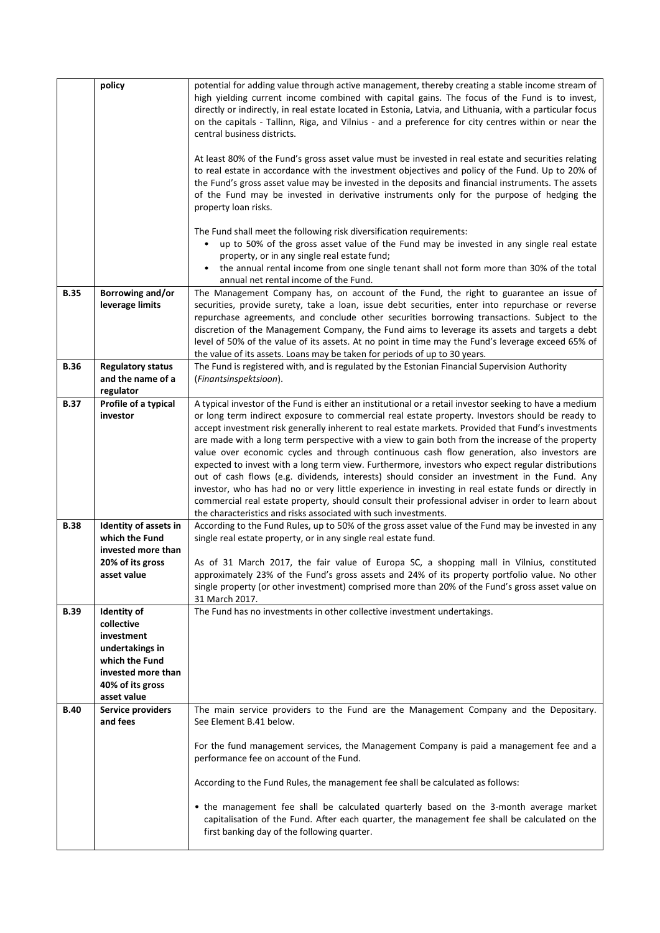|             | policy                                                                                                                                | potential for adding value through active management, thereby creating a stable income stream of<br>high yielding current income combined with capital gains. The focus of the Fund is to invest,<br>directly or indirectly, in real estate located in Estonia, Latvia, and Lithuania, with a particular focus<br>on the capitals - Tallinn, Riga, and Vilnius - and a preference for city centres within or near the<br>central business districts.<br>At least 80% of the Fund's gross asset value must be invested in real estate and securities relating<br>to real estate in accordance with the investment objectives and policy of the Fund. Up to 20% of<br>the Fund's gross asset value may be invested in the deposits and financial instruments. The assets<br>of the Fund may be invested in derivative instruments only for the purpose of hedging the<br>property loan risks.<br>The Fund shall meet the following risk diversification requirements:<br>up to 50% of the gross asset value of the Fund may be invested in any single real estate<br>$\bullet$<br>property, or in any single real estate fund; |
|-------------|---------------------------------------------------------------------------------------------------------------------------------------|------------------------------------------------------------------------------------------------------------------------------------------------------------------------------------------------------------------------------------------------------------------------------------------------------------------------------------------------------------------------------------------------------------------------------------------------------------------------------------------------------------------------------------------------------------------------------------------------------------------------------------------------------------------------------------------------------------------------------------------------------------------------------------------------------------------------------------------------------------------------------------------------------------------------------------------------------------------------------------------------------------------------------------------------------------------------------------------------------------------------------|
|             |                                                                                                                                       | the annual rental income from one single tenant shall not form more than 30% of the total<br>$\bullet$<br>annual net rental income of the Fund.                                                                                                                                                                                                                                                                                                                                                                                                                                                                                                                                                                                                                                                                                                                                                                                                                                                                                                                                                                              |
| <b>B.35</b> | Borrowing and/or<br>leverage limits                                                                                                   | The Management Company has, on account of the Fund, the right to guarantee an issue of<br>securities, provide surety, take a loan, issue debt securities, enter into repurchase or reverse<br>repurchase agreements, and conclude other securities borrowing transactions. Subject to the<br>discretion of the Management Company, the Fund aims to leverage its assets and targets a debt<br>level of 50% of the value of its assets. At no point in time may the Fund's leverage exceed 65% of<br>the value of its assets. Loans may be taken for periods of up to 30 years.                                                                                                                                                                                                                                                                                                                                                                                                                                                                                                                                               |
| <b>B.36</b> | <b>Regulatory status</b><br>and the name of a<br>regulator                                                                            | The Fund is registered with, and is regulated by the Estonian Financial Supervision Authority<br>(Finantsinspektsioon).                                                                                                                                                                                                                                                                                                                                                                                                                                                                                                                                                                                                                                                                                                                                                                                                                                                                                                                                                                                                      |
| <b>B.37</b> | Profile of a typical<br>investor                                                                                                      | A typical investor of the Fund is either an institutional or a retail investor seeking to have a medium<br>or long term indirect exposure to commercial real estate property. Investors should be ready to<br>accept investment risk generally inherent to real estate markets. Provided that Fund's investments<br>are made with a long term perspective with a view to gain both from the increase of the property<br>value over economic cycles and through continuous cash flow generation, also investors are<br>expected to invest with a long term view. Furthermore, investors who expect regular distributions<br>out of cash flows (e.g. dividends, interests) should consider an investment in the Fund. Any<br>investor, who has had no or very little experience in investing in real estate funds or directly in<br>commercial real estate property, should consult their professional adviser in order to learn about<br>the characteristics and risks associated with such investments.                                                                                                                      |
| <b>B.38</b> | Identity of assets in<br>which the Fund<br>invested more than<br>20% of its gross<br>asset value                                      | According to the Fund Rules, up to 50% of the gross asset value of the Fund may be invested in any<br>single real estate property, or in any single real estate fund.<br>As of 31 March 2017, the fair value of Europa SC, a shopping mall in Vilnius, constituted<br>approximately 23% of the Fund's gross assets and 24% of its property portfolio value. No other<br>single property (or other investment) comprised more than 20% of the Fund's gross asset value on<br>31 March 2017.                                                                                                                                                                                                                                                                                                                                                                                                                                                                                                                                                                                                                                   |
| <b>B.39</b> | Identity of<br>collective<br>investment<br>undertakings in<br>which the Fund<br>invested more than<br>40% of its gross<br>asset value | The Fund has no investments in other collective investment undertakings.                                                                                                                                                                                                                                                                                                                                                                                                                                                                                                                                                                                                                                                                                                                                                                                                                                                                                                                                                                                                                                                     |
| <b>B.40</b> | <b>Service providers</b><br>and fees                                                                                                  | The main service providers to the Fund are the Management Company and the Depositary.<br>See Element B.41 below.<br>For the fund management services, the Management Company is paid a management fee and a<br>performance fee on account of the Fund.<br>According to the Fund Rules, the management fee shall be calculated as follows:<br>• the management fee shall be calculated quarterly based on the 3-month average market                                                                                                                                                                                                                                                                                                                                                                                                                                                                                                                                                                                                                                                                                          |
|             |                                                                                                                                       | capitalisation of the Fund. After each quarter, the management fee shall be calculated on the<br>first banking day of the following quarter.                                                                                                                                                                                                                                                                                                                                                                                                                                                                                                                                                                                                                                                                                                                                                                                                                                                                                                                                                                                 |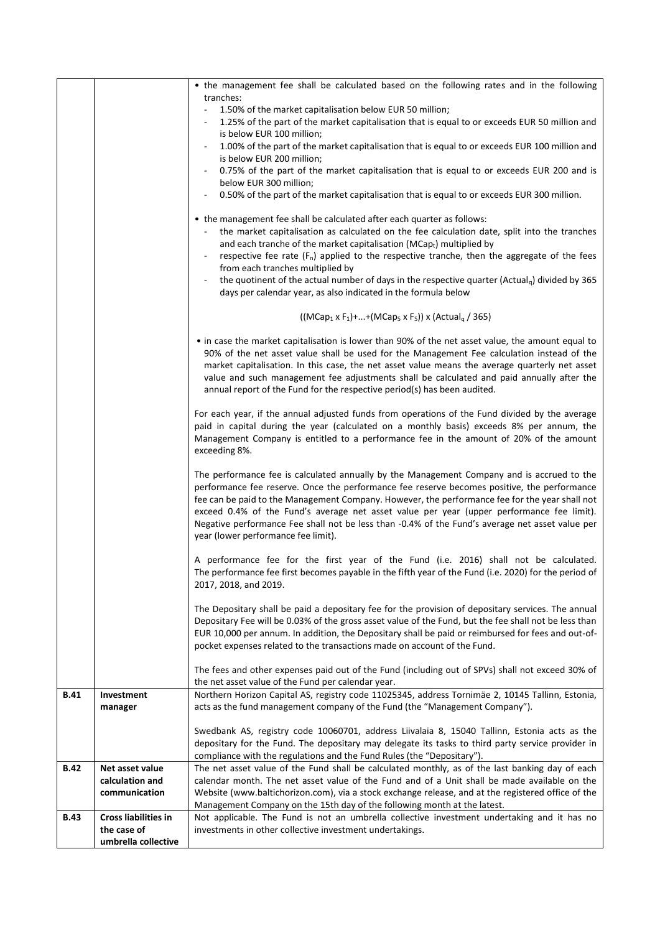|             |                             | • the management fee shall be calculated based on the following rates and in the following                                                                                                                  |
|-------------|-----------------------------|-------------------------------------------------------------------------------------------------------------------------------------------------------------------------------------------------------------|
|             |                             | tranches:                                                                                                                                                                                                   |
|             |                             | 1.50% of the market capitalisation below EUR 50 million;<br>1.25% of the part of the market capitalisation that is equal to or exceeds EUR 50 million and                                                   |
|             |                             | is below EUR 100 million;                                                                                                                                                                                   |
|             |                             | 1.00% of the part of the market capitalisation that is equal to or exceeds EUR 100 million and                                                                                                              |
|             |                             | is below EUR 200 million;                                                                                                                                                                                   |
|             |                             | 0.75% of the part of the market capitalisation that is equal to or exceeds EUR 200 and is                                                                                                                   |
|             |                             | below EUR 300 million;<br>0.50% of the part of the market capitalisation that is equal to or exceeds EUR 300 million.                                                                                       |
|             |                             |                                                                                                                                                                                                             |
|             |                             | • the management fee shall be calculated after each quarter as follows:                                                                                                                                     |
|             |                             | the market capitalisation as calculated on the fee calculation date, split into the tranches                                                                                                                |
|             |                             | and each tranche of the market capitalisation (MCapt) multiplied by                                                                                                                                         |
|             |                             | respective fee rate $(F_n)$ applied to the respective tranche, then the aggregate of the fees<br>from each tranches multiplied by                                                                           |
|             |                             | the quotinent of the actual number of days in the respective quarter (Actual <sub>a</sub> ) divided by 365<br>$\overline{\phantom{a}}$                                                                      |
|             |                             | days per calendar year, as also indicated in the formula below                                                                                                                                              |
|             |                             | $((MCap_1 \times F_1) +  + (MCap_5 \times F_5)) \times (Actual_0 / 365)$                                                                                                                                    |
|             |                             | • in case the market capitalisation is lower than 90% of the net asset value, the amount equal to                                                                                                           |
|             |                             | 90% of the net asset value shall be used for the Management Fee calculation instead of the                                                                                                                  |
|             |                             | market capitalisation. In this case, the net asset value means the average quarterly net asset                                                                                                              |
|             |                             | value and such management fee adjustments shall be calculated and paid annually after the<br>annual report of the Fund for the respective period(s) has been audited.                                       |
|             |                             |                                                                                                                                                                                                             |
|             |                             | For each year, if the annual adjusted funds from operations of the Fund divided by the average                                                                                                              |
|             |                             | paid in capital during the year (calculated on a monthly basis) exceeds 8% per annum, the                                                                                                                   |
|             |                             | Management Company is entitled to a performance fee in the amount of 20% of the amount<br>exceeding 8%.                                                                                                     |
|             |                             |                                                                                                                                                                                                             |
|             |                             | The performance fee is calculated annually by the Management Company and is accrued to the                                                                                                                  |
|             |                             | performance fee reserve. Once the performance fee reserve becomes positive, the performance                                                                                                                 |
|             |                             | fee can be paid to the Management Company. However, the performance fee for the year shall not<br>exceed 0.4% of the Fund's average net asset value per year (upper performance fee limit).                 |
|             |                             | Negative performance Fee shall not be less than -0.4% of the Fund's average net asset value per                                                                                                             |
|             |                             | year (lower performance fee limit).                                                                                                                                                                         |
|             |                             | A performance fee for the first year of the Fund (i.e. 2016) shall not be calculated.                                                                                                                       |
|             |                             | The performance fee first becomes payable in the fifth year of the Fund (i.e. 2020) for the period of                                                                                                       |
|             |                             | 2017, 2018, and 2019.                                                                                                                                                                                       |
|             |                             |                                                                                                                                                                                                             |
|             |                             | The Depositary shall be paid a depositary fee for the provision of depositary services. The annual<br>Depositary Fee will be 0.03% of the gross asset value of the Fund, but the fee shall not be less than |
|             |                             | EUR 10,000 per annum. In addition, the Depositary shall be paid or reimbursed for fees and out-of-                                                                                                          |
|             |                             | pocket expenses related to the transactions made on account of the Fund.                                                                                                                                    |
|             |                             |                                                                                                                                                                                                             |
|             |                             | The fees and other expenses paid out of the Fund (including out of SPVs) shall not exceed 30% of<br>the net asset value of the Fund per calendar year.                                                      |
| <b>B.41</b> | Investment                  | Northern Horizon Capital AS, registry code 11025345, address Tornimäe 2, 10145 Tallinn, Estonia,                                                                                                            |
|             | manager                     | acts as the fund management company of the Fund (the "Management Company").                                                                                                                                 |
|             |                             |                                                                                                                                                                                                             |
|             |                             | Swedbank AS, registry code 10060701, address Liivalaia 8, 15040 Tallinn, Estonia acts as the<br>depositary for the Fund. The depositary may delegate its tasks to third party service provider in           |
|             |                             | compliance with the regulations and the Fund Rules (the "Depositary").                                                                                                                                      |
| <b>B.42</b> | Net asset value             | The net asset value of the Fund shall be calculated monthly, as of the last banking day of each                                                                                                             |
|             | calculation and             | calendar month. The net asset value of the Fund and of a Unit shall be made available on the                                                                                                                |
|             | communication               | Website (www.baltichorizon.com), via a stock exchange release, and at the registered office of the<br>Management Company on the 15th day of the following month at the latest.                              |
| <b>B.43</b> | <b>Cross liabilities in</b> | Not applicable. The Fund is not an umbrella collective investment undertaking and it has no                                                                                                                 |
|             | the case of                 | investments in other collective investment undertakings.                                                                                                                                                    |
|             | umbrella collective         |                                                                                                                                                                                                             |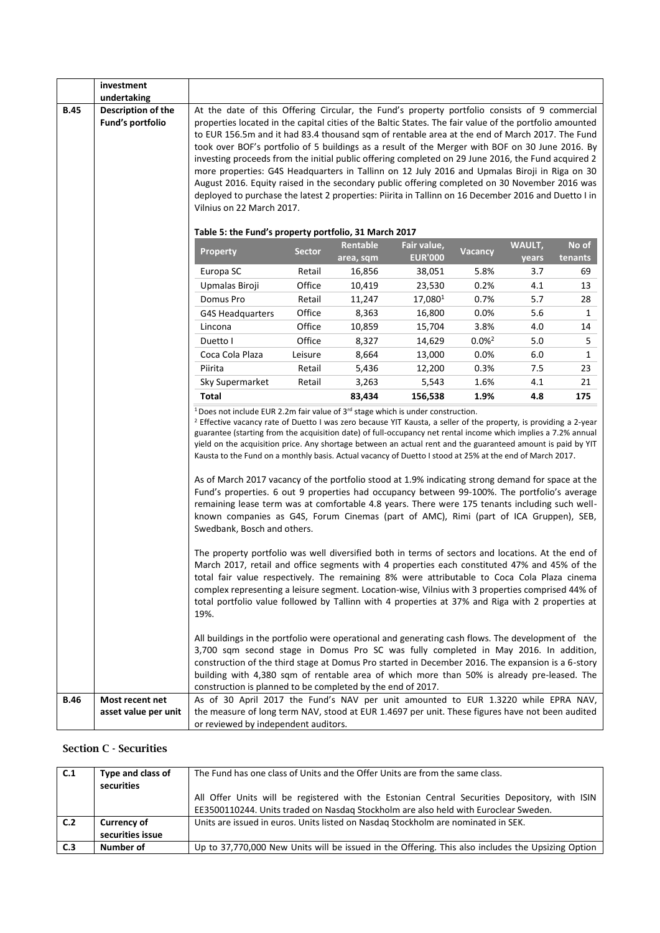|             | investment                                                                                                                                                                                                                                                                                                                                                                                                                  |                                                                                                                                                                                                                                                                                                                                                                                                                                                                                                                                                                                                                                                                                                                                                                                                                                                            |                                                       |                       |                               |                   |                 |                  |  |  |  |
|-------------|-----------------------------------------------------------------------------------------------------------------------------------------------------------------------------------------------------------------------------------------------------------------------------------------------------------------------------------------------------------------------------------------------------------------------------|------------------------------------------------------------------------------------------------------------------------------------------------------------------------------------------------------------------------------------------------------------------------------------------------------------------------------------------------------------------------------------------------------------------------------------------------------------------------------------------------------------------------------------------------------------------------------------------------------------------------------------------------------------------------------------------------------------------------------------------------------------------------------------------------------------------------------------------------------------|-------------------------------------------------------|-----------------------|-------------------------------|-------------------|-----------------|------------------|--|--|--|
| <b>B.45</b> | undertaking<br><b>Description of the</b>                                                                                                                                                                                                                                                                                                                                                                                    |                                                                                                                                                                                                                                                                                                                                                                                                                                                                                                                                                                                                                                                                                                                                                                                                                                                            |                                                       |                       |                               |                   |                 |                  |  |  |  |
|             | Fund's portfolio                                                                                                                                                                                                                                                                                                                                                                                                            | At the date of this Offering Circular, the Fund's property portfolio consists of 9 commercial<br>properties located in the capital cities of the Baltic States. The fair value of the portfolio amounted<br>to EUR 156.5m and it had 83.4 thousand sqm of rentable area at the end of March 2017. The Fund<br>took over BOF's portfolio of 5 buildings as a result of the Merger with BOF on 30 June 2016. By<br>investing proceeds from the initial public offering completed on 29 June 2016, the Fund acquired 2<br>more properties: G4S Headquarters in Tallinn on 12 July 2016 and Upmalas Biroji in Riga on 30<br>August 2016. Equity raised in the secondary public offering completed on 30 November 2016 was<br>deployed to purchase the latest 2 properties: Piirita in Tallinn on 16 December 2016 and Duetto I in<br>Vilnius on 22 March 2017. |                                                       |                       |                               |                   |                 |                  |  |  |  |
|             |                                                                                                                                                                                                                                                                                                                                                                                                                             |                                                                                                                                                                                                                                                                                                                                                                                                                                                                                                                                                                                                                                                                                                                                                                                                                                                            | Table 5: the Fund's property portfolio, 31 March 2017 |                       |                               |                   |                 |                  |  |  |  |
|             |                                                                                                                                                                                                                                                                                                                                                                                                                             | <b>Property</b>                                                                                                                                                                                                                                                                                                                                                                                                                                                                                                                                                                                                                                                                                                                                                                                                                                            | <b>Sector</b>                                         | Rentable<br>area, sqm | Fair value,<br><b>EUR'000</b> | Vacancy           | WAULT,<br>years | No of<br>tenants |  |  |  |
|             |                                                                                                                                                                                                                                                                                                                                                                                                                             | Europa SC                                                                                                                                                                                                                                                                                                                                                                                                                                                                                                                                                                                                                                                                                                                                                                                                                                                  | Retail                                                | 16,856                | 38,051                        | 5.8%              | 3.7             | 69               |  |  |  |
|             |                                                                                                                                                                                                                                                                                                                                                                                                                             | Upmalas Biroji                                                                                                                                                                                                                                                                                                                                                                                                                                                                                                                                                                                                                                                                                                                                                                                                                                             | Office                                                | 10,419                | 23,530                        | 0.2%              | 4.1             | 13               |  |  |  |
|             |                                                                                                                                                                                                                                                                                                                                                                                                                             | Domus Pro                                                                                                                                                                                                                                                                                                                                                                                                                                                                                                                                                                                                                                                                                                                                                                                                                                                  | Retail                                                | 11,247                | 17,0801                       | 0.7%              | 5.7             | 28               |  |  |  |
|             |                                                                                                                                                                                                                                                                                                                                                                                                                             | <b>G4S Headquarters</b>                                                                                                                                                                                                                                                                                                                                                                                                                                                                                                                                                                                                                                                                                                                                                                                                                                    | Office                                                | 8,363                 | 16,800                        | 0.0%              | 5.6             | 1                |  |  |  |
|             |                                                                                                                                                                                                                                                                                                                                                                                                                             | Lincona                                                                                                                                                                                                                                                                                                                                                                                                                                                                                                                                                                                                                                                                                                                                                                                                                                                    | Office                                                | 10,859                | 15,704                        | 3.8%              | 4.0             | 14               |  |  |  |
|             |                                                                                                                                                                                                                                                                                                                                                                                                                             | Duetto I                                                                                                                                                                                                                                                                                                                                                                                                                                                                                                                                                                                                                                                                                                                                                                                                                                                   | Office                                                | 8,327                 | 14,629                        | 0.0% <sup>2</sup> | 5.0             | 5                |  |  |  |
|             |                                                                                                                                                                                                                                                                                                                                                                                                                             | Coca Cola Plaza                                                                                                                                                                                                                                                                                                                                                                                                                                                                                                                                                                                                                                                                                                                                                                                                                                            | Leisure                                               | 8,664                 | 13,000                        | 0.0%              | 6.0             | 1                |  |  |  |
|             |                                                                                                                                                                                                                                                                                                                                                                                                                             | Piirita                                                                                                                                                                                                                                                                                                                                                                                                                                                                                                                                                                                                                                                                                                                                                                                                                                                    | Retail                                                | 5,436                 | 12,200                        | 0.3%              | 7.5             | 23               |  |  |  |
|             |                                                                                                                                                                                                                                                                                                                                                                                                                             | Sky Supermarket                                                                                                                                                                                                                                                                                                                                                                                                                                                                                                                                                                                                                                                                                                                                                                                                                                            | Retail                                                | 3,263                 | 5,543                         | 1.6%              | 4.1             | 21               |  |  |  |
|             |                                                                                                                                                                                                                                                                                                                                                                                                                             | Total                                                                                                                                                                                                                                                                                                                                                                                                                                                                                                                                                                                                                                                                                                                                                                                                                                                      |                                                       | 83,434                | 156,538                       | 1.9%              | 4.8             | 175              |  |  |  |
|             |                                                                                                                                                                                                                                                                                                                                                                                                                             | <sup>1</sup> Does not include EUR 2.2m fair value of 3 <sup>rd</sup> stage which is under construction.<br><sup>2</sup> Effective vacancy rate of Duetto I was zero because YIT Kausta, a seller of the property, is providing a 2-year<br>guarantee (starting from the acquisition date) of full-occupancy net rental income which implies a 7.2% annual<br>yield on the acquisition price. Any shortage between an actual rent and the guaranteed amount is paid by YIT<br>Kausta to the Fund on a monthly basis. Actual vacancy of Duetto I stood at 25% at the end of March 2017.                                                                                                                                                                                                                                                                      |                                                       |                       |                               |                   |                 |                  |  |  |  |
|             | As of March 2017 vacancy of the portfolio stood at 1.9% indicating strong demand for space at the<br>Fund's properties. 6 out 9 properties had occupancy between 99-100%. The portfolio's average<br>remaining lease term was at comfortable 4.8 years. There were 175 tenants including such well-<br>known companies as G4S, Forum Cinemas (part of AMC), Rimi (part of ICA Gruppen), SEB,<br>Swedbank, Bosch and others. |                                                                                                                                                                                                                                                                                                                                                                                                                                                                                                                                                                                                                                                                                                                                                                                                                                                            |                                                       |                       |                               |                   |                 |                  |  |  |  |
|             |                                                                                                                                                                                                                                                                                                                                                                                                                             | The property portfolio was well diversified both in terms of sectors and locations. At the end of<br>March 2017, retail and office segments with 4 properties each constituted 47% and 45% of the<br>total fair value respectively. The remaining 8% were attributable to Coca Cola Plaza cinema<br>complex representing a leisure segment. Location-wise, Vilnius with 3 properties comprised 44% of<br>total portfolio value followed by Tallinn with 4 properties at 37% and Riga with 2 properties at<br>19%.                                                                                                                                                                                                                                                                                                                                          |                                                       |                       |                               |                   |                 |                  |  |  |  |
|             |                                                                                                                                                                                                                                                                                                                                                                                                                             | All buildings in the portfolio were operational and generating cash flows. The development of the<br>3,700 sqm second stage in Domus Pro SC was fully completed in May 2016. In addition,<br>construction of the third stage at Domus Pro started in December 2016. The expansion is a 6-story<br>building with 4,380 sqm of rentable area of which more than 50% is already pre-leased. The<br>construction is planned to be completed by the end of 2017.                                                                                                                                                                                                                                                                                                                                                                                                |                                                       |                       |                               |                   |                 |                  |  |  |  |
| <b>B.46</b> | Most recent net                                                                                                                                                                                                                                                                                                                                                                                                             | As of 30 April 2017 the Fund's NAV per unit amounted to EUR 1.3220 while EPRA NAV,                                                                                                                                                                                                                                                                                                                                                                                                                                                                                                                                                                                                                                                                                                                                                                         |                                                       |                       |                               |                   |                 |                  |  |  |  |
|             | asset value per unit                                                                                                                                                                                                                                                                                                                                                                                                        | the measure of long term NAV, stood at EUR 1.4697 per unit. These figures have not been audited<br>or reviewed by independent auditors.                                                                                                                                                                                                                                                                                                                                                                                                                                                                                                                                                                                                                                                                                                                    |                                                       |                       |                               |                   |                 |                  |  |  |  |

### Section C - Securities

| C.1 | Type and class of  | The Fund has one class of Units and the Offer Units are from the same class.                      |  |
|-----|--------------------|---------------------------------------------------------------------------------------------------|--|
|     | securities         |                                                                                                   |  |
|     |                    | All Offer Units will be registered with the Estonian Central Securities Depository, with ISIN     |  |
|     |                    | EE3500110244. Units traded on Nasdag Stockholm are also held with Euroclear Sweden.               |  |
| C.2 | <b>Currency of</b> | Units are issued in euros. Units listed on Nasdag Stockholm are nominated in SEK.                 |  |
|     | securities issue   |                                                                                                   |  |
| C.3 | Number of          | Up to 37,770,000 New Units will be issued in the Offering. This also includes the Upsizing Option |  |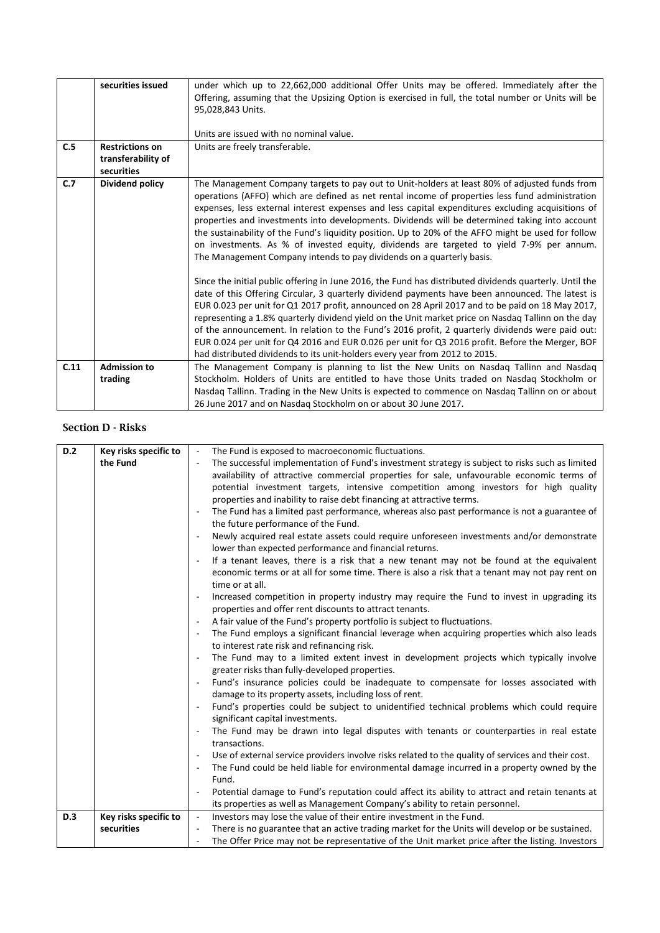| C.5                                                                                                           | securities issued<br><b>Restrictions on</b><br>transferability of | under which up to 22,662,000 additional Offer Units may be offered. Immediately after the<br>Offering, assuming that the Upsizing Option is exercised in full, the total number or Units will be<br>95,028,843 Units.<br>Units are issued with no nominal value.<br>Units are freely transferable.                                                                                                                                                                                                                                                                                                                                                                                                                                                                                                                                                                                                                            |  |
|---------------------------------------------------------------------------------------------------------------|-------------------------------------------------------------------|-------------------------------------------------------------------------------------------------------------------------------------------------------------------------------------------------------------------------------------------------------------------------------------------------------------------------------------------------------------------------------------------------------------------------------------------------------------------------------------------------------------------------------------------------------------------------------------------------------------------------------------------------------------------------------------------------------------------------------------------------------------------------------------------------------------------------------------------------------------------------------------------------------------------------------|--|
| securities<br>C.7<br>Dividend policy<br>The Management Company intends to pay dividends on a quarterly basis. |                                                                   | The Management Company targets to pay out to Unit-holders at least 80% of adjusted funds from<br>operations (AFFO) which are defined as net rental income of properties less fund administration<br>expenses, less external interest expenses and less capital expenditures excluding acquisitions of<br>properties and investments into developments. Dividends will be determined taking into account<br>the sustainability of the Fund's liquidity position. Up to 20% of the AFFO might be used for follow<br>on investments. As % of invested equity, dividends are targeted to yield 7-9% per annum.<br>Since the initial public offering in June 2016, the Fund has distributed dividends quarterly. Until the<br>date of this Offering Circular, 3 quarterly dividend payments have been announced. The latest is<br>EUR 0.023 per unit for Q1 2017 profit, announced on 28 April 2017 and to be paid on 18 May 2017, |  |
|                                                                                                               |                                                                   | representing a 1.8% quarterly dividend yield on the Unit market price on Nasdaq Tallinn on the day<br>of the announcement. In relation to the Fund's 2016 profit, 2 quarterly dividends were paid out:<br>EUR 0.024 per unit for Q4 2016 and EUR 0.026 per unit for Q3 2016 profit. Before the Merger, BOF<br>had distributed dividends to its unit-holders every year from 2012 to 2015.                                                                                                                                                                                                                                                                                                                                                                                                                                                                                                                                     |  |
| C.11                                                                                                          | <b>Admission to</b>                                               | The Management Company is planning to list the New Units on Nasdaq Tallinn and Nasdaq                                                                                                                                                                                                                                                                                                                                                                                                                                                                                                                                                                                                                                                                                                                                                                                                                                         |  |
|                                                                                                               | trading                                                           | Stockholm. Holders of Units are entitled to have those Units traded on Nasdag Stockholm or                                                                                                                                                                                                                                                                                                                                                                                                                                                                                                                                                                                                                                                                                                                                                                                                                                    |  |
|                                                                                                               |                                                                   | Nasdag Tallinn. Trading in the New Units is expected to commence on Nasdag Tallinn on or about                                                                                                                                                                                                                                                                                                                                                                                                                                                                                                                                                                                                                                                                                                                                                                                                                                |  |
|                                                                                                               |                                                                   | 26 June 2017 and on Nasdag Stockholm on or about 30 June 2017.                                                                                                                                                                                                                                                                                                                                                                                                                                                                                                                                                                                                                                                                                                                                                                                                                                                                |  |

Section D - Risks

| D.2                                                                                               | Key risks specific to | The Fund is exposed to macroeconomic fluctuations.<br>$\blacksquare$                                                           |
|---------------------------------------------------------------------------------------------------|-----------------------|--------------------------------------------------------------------------------------------------------------------------------|
|                                                                                                   | the Fund              | The successful implementation of Fund's investment strategy is subject to risks such as limited                                |
|                                                                                                   |                       | availability of attractive commercial properties for sale, unfavourable economic terms of                                      |
| properties and inability to raise debt financing at attractive terms.<br>$\overline{\phantom{a}}$ |                       | potential investment targets, intensive competition among investors for high quality                                           |
|                                                                                                   |                       |                                                                                                                                |
|                                                                                                   |                       | The Fund has a limited past performance, whereas also past performance is not a guarantee of                                   |
|                                                                                                   |                       | the future performance of the Fund.                                                                                            |
|                                                                                                   |                       |                                                                                                                                |
|                                                                                                   |                       | Newly acquired real estate assets could require unforeseen investments and/or demonstrate                                      |
|                                                                                                   |                       | lower than expected performance and financial returns.                                                                         |
|                                                                                                   |                       | If a tenant leaves, there is a risk that a new tenant may not be found at the equivalent<br>$\overline{\phantom{a}}$           |
|                                                                                                   |                       | economic terms or at all for some time. There is also a risk that a tenant may not pay rent on                                 |
|                                                                                                   |                       | time or at all.                                                                                                                |
|                                                                                                   |                       | Increased competition in property industry may require the Fund to invest in upgrading its                                     |
|                                                                                                   |                       | properties and offer rent discounts to attract tenants.                                                                        |
|                                                                                                   |                       | A fair value of the Fund's property portfolio is subject to fluctuations.<br>$\overline{\phantom{a}}$                          |
|                                                                                                   |                       | The Fund employs a significant financial leverage when acquiring properties which also leads<br>$\overline{\phantom{a}}$       |
|                                                                                                   |                       | to interest rate risk and refinancing risk.                                                                                    |
|                                                                                                   |                       | The Fund may to a limited extent invest in development projects which typically involve<br>$\overline{\phantom{a}}$            |
|                                                                                                   |                       | greater risks than fully-developed properties.                                                                                 |
|                                                                                                   |                       | Fund's insurance policies could be inadequate to compensate for losses associated with                                         |
|                                                                                                   |                       | damage to its property assets, including loss of rent.                                                                         |
|                                                                                                   |                       | Fund's properties could be subject to unidentified technical problems which could require<br>$\overline{\phantom{a}}$          |
|                                                                                                   |                       | significant capital investments.                                                                                               |
|                                                                                                   |                       | The Fund may be drawn into legal disputes with tenants or counterparties in real estate                                        |
|                                                                                                   |                       | transactions.                                                                                                                  |
|                                                                                                   |                       | Use of external service providers involve risks related to the quality of services and their cost.<br>$\overline{\phantom{a}}$ |
|                                                                                                   |                       | The Fund could be held liable for environmental damage incurred in a property owned by the<br>$\overline{\phantom{a}}$         |
|                                                                                                   |                       | Fund.                                                                                                                          |
|                                                                                                   |                       | Potential damage to Fund's reputation could affect its ability to attract and retain tenants at                                |
|                                                                                                   |                       | its properties as well as Management Company's ability to retain personnel.                                                    |
| D.3                                                                                               | Key risks specific to | Investors may lose the value of their entire investment in the Fund.<br>$\overline{\phantom{a}}$                               |
|                                                                                                   | securities            | There is no guarantee that an active trading market for the Units will develop or be sustained.                                |
|                                                                                                   |                       |                                                                                                                                |
|                                                                                                   |                       | The Offer Price may not be representative of the Unit market price after the listing. Investors                                |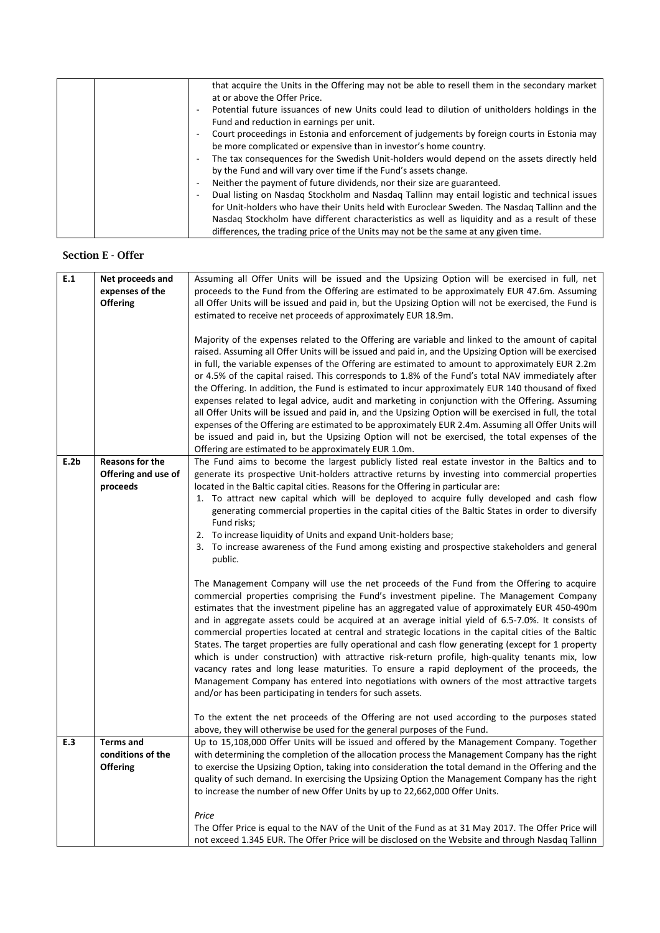|                          | that acquire the Units in the Offering may not be able to resell them in the secondary market    |
|--------------------------|--------------------------------------------------------------------------------------------------|
|                          | at or above the Offer Price.                                                                     |
|                          | Potential future issuances of new Units could lead to dilution of unitholders holdings in the    |
|                          | Fund and reduction in earnings per unit.                                                         |
|                          | Court proceedings in Estonia and enforcement of judgements by foreign courts in Estonia may<br>٠ |
|                          | be more complicated or expensive than in investor's home country.                                |
| ٠                        | The tax consequences for the Swedish Unit-holders would depend on the assets directly held       |
|                          | by the Fund and will vary over time if the Fund's assets change.                                 |
| $\overline{\phantom{a}}$ | Neither the payment of future dividends, nor their size are guaranteed.                          |
| -                        | Dual listing on Nasdaq Stockholm and Nasdaq Tallinn may entail logistic and technical issues     |
|                          | for Unit-holders who have their Units held with Euroclear Sweden. The Nasdag Tallinn and the     |
|                          | Nasdag Stockholm have different characteristics as well as liquidity and as a result of these    |
|                          | differences, the trading price of the Units may not be the same at any given time.               |

#### Section E - Offer

| E.1                                                             | Net proceeds and       | Assuming all Offer Units will be issued and the Upsizing Option will be exercised in full, net           |  |
|-----------------------------------------------------------------|------------------------|----------------------------------------------------------------------------------------------------------|--|
|                                                                 | expenses of the        | proceeds to the Fund from the Offering are estimated to be approximately EUR 47.6m. Assuming             |  |
|                                                                 | <b>Offering</b>        | all Offer Units will be issued and paid in, but the Upsizing Option will not be exercised, the Fund is   |  |
|                                                                 |                        | estimated to receive net proceeds of approximately EUR 18.9m.                                            |  |
|                                                                 |                        |                                                                                                          |  |
|                                                                 |                        | Majority of the expenses related to the Offering are variable and linked to the amount of capital        |  |
|                                                                 |                        | raised. Assuming all Offer Units will be issued and paid in, and the Upsizing Option will be exercised   |  |
|                                                                 |                        | in full, the variable expenses of the Offering are estimated to amount to approximately EUR 2.2m         |  |
|                                                                 |                        | or 4.5% of the capital raised. This corresponds to 1.8% of the Fund's total NAV immediately after        |  |
|                                                                 |                        | the Offering. In addition, the Fund is estimated to incur approximately EUR 140 thousand of fixed        |  |
|                                                                 |                        | expenses related to legal advice, audit and marketing in conjunction with the Offering. Assuming         |  |
|                                                                 |                        | all Offer Units will be issued and paid in, and the Upsizing Option will be exercised in full, the total |  |
|                                                                 |                        | expenses of the Offering are estimated to be approximately EUR 2.4m. Assuming all Offer Units will       |  |
|                                                                 |                        | be issued and paid in, but the Upsizing Option will not be exercised, the total expenses of the          |  |
|                                                                 |                        | Offering are estimated to be approximately EUR 1.0m.                                                     |  |
| E.2b                                                            | <b>Reasons for the</b> | The Fund aims to become the largest publicly listed real estate investor in the Baltics and to           |  |
|                                                                 | Offering and use of    | generate its prospective Unit-holders attractive returns by investing into commercial properties         |  |
|                                                                 | proceeds               | located in the Baltic capital cities. Reasons for the Offering in particular are:                        |  |
|                                                                 |                        | 1. To attract new capital which will be deployed to acquire fully developed and cash flow                |  |
|                                                                 |                        | generating commercial properties in the capital cities of the Baltic States in order to diversify        |  |
|                                                                 | Fund risks;            |                                                                                                          |  |
| 2. To increase liquidity of Units and expand Unit-holders base; |                        |                                                                                                          |  |
|                                                                 |                        | 3. To increase awareness of the Fund among existing and prospective stakeholders and general             |  |
|                                                                 |                        | public.                                                                                                  |  |
|                                                                 |                        |                                                                                                          |  |
|                                                                 |                        | The Management Company will use the net proceeds of the Fund from the Offering to acquire                |  |
|                                                                 |                        | commercial properties comprising the Fund's investment pipeline. The Management Company                  |  |
|                                                                 |                        | estimates that the investment pipeline has an aggregated value of approximately EUR 450-490m             |  |
|                                                                 |                        | and in aggregate assets could be acquired at an average initial yield of 6.5-7.0%. It consists of        |  |
|                                                                 |                        | commercial properties located at central and strategic locations in the capital cities of the Baltic     |  |
|                                                                 |                        | States. The target properties are fully operational and cash flow generating (except for 1 property      |  |
|                                                                 |                        | which is under construction) with attractive risk-return profile, high-quality tenants mix, low          |  |
|                                                                 |                        | vacancy rates and long lease maturities. To ensure a rapid deployment of the proceeds, the               |  |
|                                                                 |                        | Management Company has entered into negotiations with owners of the most attractive targets              |  |
|                                                                 |                        | and/or has been participating in tenders for such assets.                                                |  |
|                                                                 |                        | To the extent the net proceeds of the Offering are not used according to the purposes stated             |  |
|                                                                 |                        | above, they will otherwise be used for the general purposes of the Fund.                                 |  |
| E.3                                                             | <b>Terms and</b>       | Up to 15,108,000 Offer Units will be issued and offered by the Management Company. Together              |  |
|                                                                 | conditions of the      | with determining the completion of the allocation process the Management Company has the right           |  |
|                                                                 | <b>Offering</b>        | to exercise the Upsizing Option, taking into consideration the total demand in the Offering and the      |  |
|                                                                 |                        | quality of such demand. In exercising the Upsizing Option the Management Company has the right           |  |
|                                                                 |                        | to increase the number of new Offer Units by up to 22,662,000 Offer Units.                               |  |
|                                                                 |                        |                                                                                                          |  |
|                                                                 |                        | Price                                                                                                    |  |
|                                                                 |                        | The Offer Price is equal to the NAV of the Unit of the Fund as at 31 May 2017. The Offer Price will      |  |
|                                                                 |                        | not exceed 1.345 EUR. The Offer Price will be disclosed on the Website and through Nasdaq Tallinn        |  |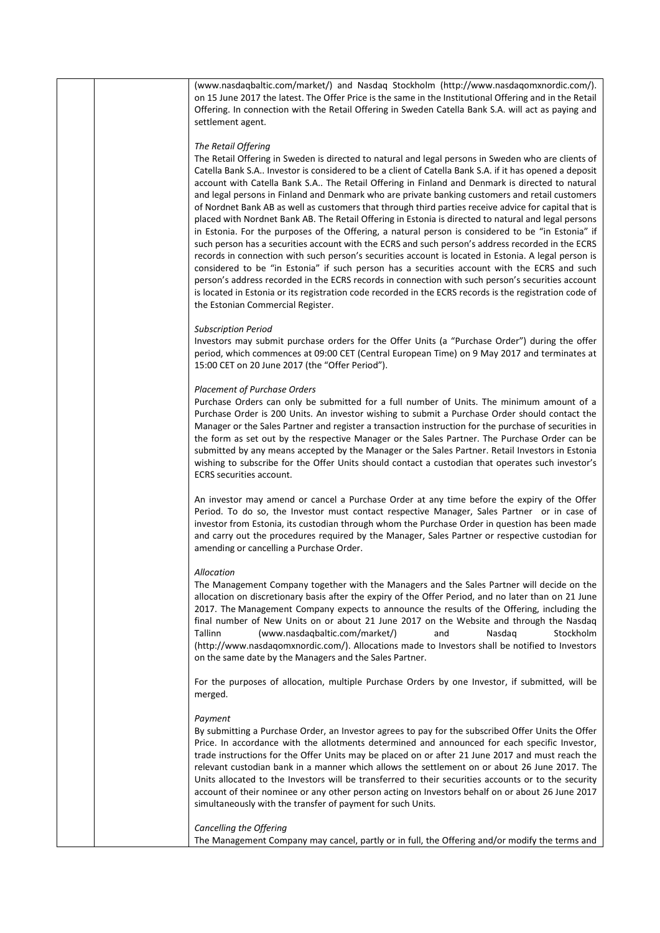| (www.nasdagbaltic.com/market/) and Nasdag Stockholm (http://www.nasdagomxnordic.com/).<br>on 15 June 2017 the latest. The Offer Price is the same in the Institutional Offering and in the Retail<br>Offering. In connection with the Retail Offering in Sweden Catella Bank S.A. will act as paying and<br>settlement agent.                                                                                                                                                                                                                                                                                                                                                                                                                                                                                                                                                                                                                                                                                                                                                                                                                                                                                                                                                                                                       |
|-------------------------------------------------------------------------------------------------------------------------------------------------------------------------------------------------------------------------------------------------------------------------------------------------------------------------------------------------------------------------------------------------------------------------------------------------------------------------------------------------------------------------------------------------------------------------------------------------------------------------------------------------------------------------------------------------------------------------------------------------------------------------------------------------------------------------------------------------------------------------------------------------------------------------------------------------------------------------------------------------------------------------------------------------------------------------------------------------------------------------------------------------------------------------------------------------------------------------------------------------------------------------------------------------------------------------------------|
| The Retail Offering<br>The Retail Offering in Sweden is directed to natural and legal persons in Sweden who are clients of<br>Catella Bank S.A Investor is considered to be a client of Catella Bank S.A. if it has opened a deposit<br>account with Catella Bank S.A The Retail Offering in Finland and Denmark is directed to natural<br>and legal persons in Finland and Denmark who are private banking customers and retail customers<br>of Nordnet Bank AB as well as customers that through third parties receive advice for capital that is<br>placed with Nordnet Bank AB. The Retail Offering in Estonia is directed to natural and legal persons<br>in Estonia. For the purposes of the Offering, a natural person is considered to be "in Estonia" if<br>such person has a securities account with the ECRS and such person's address recorded in the ECRS<br>records in connection with such person's securities account is located in Estonia. A legal person is<br>considered to be "in Estonia" if such person has a securities account with the ECRS and such<br>person's address recorded in the ECRS records in connection with such person's securities account<br>is located in Estonia or its registration code recorded in the ECRS records is the registration code of<br>the Estonian Commercial Register. |
| <b>Subscription Period</b><br>Investors may submit purchase orders for the Offer Units (a "Purchase Order") during the offer<br>period, which commences at 09:00 CET (Central European Time) on 9 May 2017 and terminates at<br>15:00 CET on 20 June 2017 (the "Offer Period").                                                                                                                                                                                                                                                                                                                                                                                                                                                                                                                                                                                                                                                                                                                                                                                                                                                                                                                                                                                                                                                     |
| <b>Placement of Purchase Orders</b><br>Purchase Orders can only be submitted for a full number of Units. The minimum amount of a<br>Purchase Order is 200 Units. An investor wishing to submit a Purchase Order should contact the<br>Manager or the Sales Partner and register a transaction instruction for the purchase of securities in<br>the form as set out by the respective Manager or the Sales Partner. The Purchase Order can be<br>submitted by any means accepted by the Manager or the Sales Partner. Retail Investors in Estonia<br>wishing to subscribe for the Offer Units should contact a custodian that operates such investor's<br>ECRS securities account.                                                                                                                                                                                                                                                                                                                                                                                                                                                                                                                                                                                                                                                   |
| An investor may amend or cancel a Purchase Order at any time before the expiry of the Offer<br>Period. To do so, the Investor must contact respective Manager, Sales Partner or in case of<br>investor from Estonia, its custodian through whom the Purchase Order in question has been made<br>and carry out the procedures required by the Manager, Sales Partner or respective custodian for<br>amending or cancelling a Purchase Order.                                                                                                                                                                                                                                                                                                                                                                                                                                                                                                                                                                                                                                                                                                                                                                                                                                                                                         |
| Allocation<br>The Management Company together with the Managers and the Sales Partner will decide on the<br>allocation on discretionary basis after the expiry of the Offer Period, and no later than on 21 June<br>2017. The Management Company expects to announce the results of the Offering, including the<br>final number of New Units on or about 21 June 2017 on the Website and through the Nasdaq<br>Tallinn<br>(www.nasdaqbaltic.com/market/)<br>Stockholm<br>and<br>Nasdaq<br>(http://www.nasdaqomxnordic.com/). Allocations made to Investors shall be notified to Investors<br>on the same date by the Managers and the Sales Partner.                                                                                                                                                                                                                                                                                                                                                                                                                                                                                                                                                                                                                                                                                |
| For the purposes of allocation, multiple Purchase Orders by one Investor, if submitted, will be<br>merged.                                                                                                                                                                                                                                                                                                                                                                                                                                                                                                                                                                                                                                                                                                                                                                                                                                                                                                                                                                                                                                                                                                                                                                                                                          |
| Payment<br>By submitting a Purchase Order, an Investor agrees to pay for the subscribed Offer Units the Offer<br>Price. In accordance with the allotments determined and announced for each specific Investor,<br>trade instructions for the Offer Units may be placed on or after 21 June 2017 and must reach the<br>relevant custodian bank in a manner which allows the settlement on or about 26 June 2017. The<br>Units allocated to the Investors will be transferred to their securities accounts or to the security<br>account of their nominee or any other person acting on Investors behalf on or about 26 June 2017<br>simultaneously with the transfer of payment for such Units.                                                                                                                                                                                                                                                                                                                                                                                                                                                                                                                                                                                                                                      |
| Cancelling the Offering<br>The Management Company may cancel, partly or in full, the Offering and/or modify the terms and                                                                                                                                                                                                                                                                                                                                                                                                                                                                                                                                                                                                                                                                                                                                                                                                                                                                                                                                                                                                                                                                                                                                                                                                           |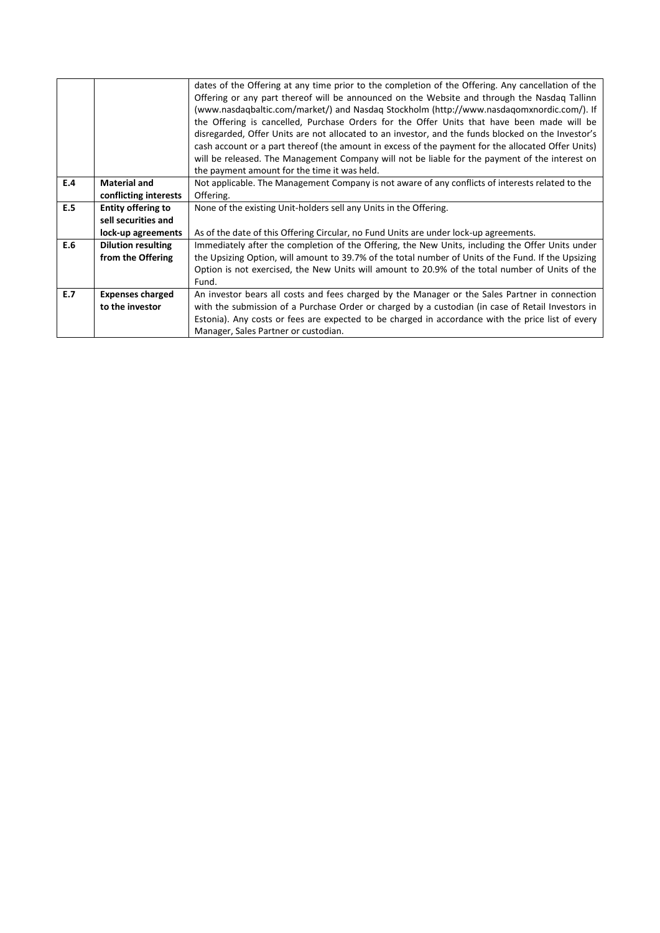|     |                           | dates of the Offering at any time prior to the completion of the Offering. Any cancellation of the<br>Offering or any part thereof will be announced on the Website and through the Nasdag Tallinn<br>(www.nasdagbaltic.com/market/) and Nasdag Stockholm (http://www.nasdagomxnordic.com/). If<br>the Offering is cancelled, Purchase Orders for the Offer Units that have been made will be<br>disregarded, Offer Units are not allocated to an investor, and the funds blocked on the Investor's<br>cash account or a part thereof (the amount in excess of the payment for the allocated Offer Units)<br>will be released. The Management Company will not be liable for the payment of the interest on<br>the payment amount for the time it was held. |  |
|-----|---------------------------|-------------------------------------------------------------------------------------------------------------------------------------------------------------------------------------------------------------------------------------------------------------------------------------------------------------------------------------------------------------------------------------------------------------------------------------------------------------------------------------------------------------------------------------------------------------------------------------------------------------------------------------------------------------------------------------------------------------------------------------------------------------|--|
| E.4 | <b>Material and</b>       | Not applicable. The Management Company is not aware of any conflicts of interests related to the                                                                                                                                                                                                                                                                                                                                                                                                                                                                                                                                                                                                                                                            |  |
|     | conflicting interests     | Offering.                                                                                                                                                                                                                                                                                                                                                                                                                                                                                                                                                                                                                                                                                                                                                   |  |
| E.5 | Entity offering to        | None of the existing Unit-holders sell any Units in the Offering.                                                                                                                                                                                                                                                                                                                                                                                                                                                                                                                                                                                                                                                                                           |  |
|     | sell securities and       |                                                                                                                                                                                                                                                                                                                                                                                                                                                                                                                                                                                                                                                                                                                                                             |  |
|     | lock-up agreements        | As of the date of this Offering Circular, no Fund Units are under lock-up agreements.                                                                                                                                                                                                                                                                                                                                                                                                                                                                                                                                                                                                                                                                       |  |
| E.6 | <b>Dilution resulting</b> | Immediately after the completion of the Offering, the New Units, including the Offer Units under                                                                                                                                                                                                                                                                                                                                                                                                                                                                                                                                                                                                                                                            |  |
|     | from the Offering         | the Upsizing Option, will amount to 39.7% of the total number of Units of the Fund. If the Upsizing                                                                                                                                                                                                                                                                                                                                                                                                                                                                                                                                                                                                                                                         |  |
|     |                           | Option is not exercised, the New Units will amount to 20.9% of the total number of Units of the                                                                                                                                                                                                                                                                                                                                                                                                                                                                                                                                                                                                                                                             |  |
|     |                           | Fund.                                                                                                                                                                                                                                                                                                                                                                                                                                                                                                                                                                                                                                                                                                                                                       |  |
| E.7 | <b>Expenses charged</b>   | An investor bears all costs and fees charged by the Manager or the Sales Partner in connection                                                                                                                                                                                                                                                                                                                                                                                                                                                                                                                                                                                                                                                              |  |
|     | to the investor           | with the submission of a Purchase Order or charged by a custodian (in case of Retail Investors in                                                                                                                                                                                                                                                                                                                                                                                                                                                                                                                                                                                                                                                           |  |
|     |                           | Estonia). Any costs or fees are expected to be charged in accordance with the price list of every                                                                                                                                                                                                                                                                                                                                                                                                                                                                                                                                                                                                                                                           |  |
|     |                           | Manager, Sales Partner or custodian.                                                                                                                                                                                                                                                                                                                                                                                                                                                                                                                                                                                                                                                                                                                        |  |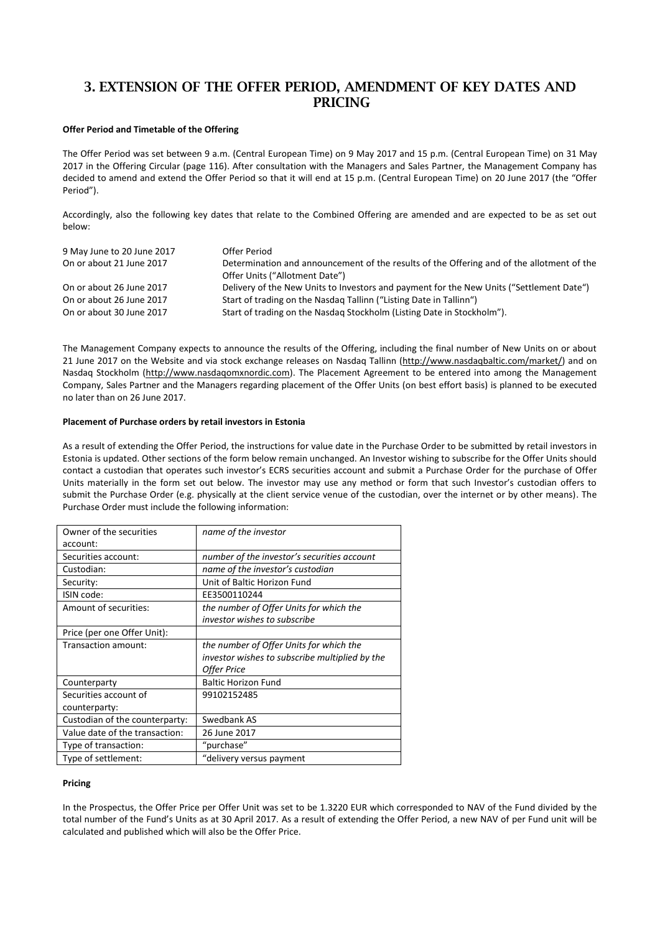### 3. EXTENSION OF THE OFFER PERIOD, AMENDMENT OF KEY DATES AND **PRICING**

#### **Offer Period and Timetable of the Offering**

The Offer Period was set between 9 a.m. (Central European Time) on 9 May 2017 and 15 p.m. (Central European Time) on 31 May 2017 in the Offering Circular (page 116). After consultation with the Managers and Sales Partner, the Management Company has decided to amend and extend the Offer Period so that it will end at 15 p.m. (Central European Time) on 20 June 2017 (the "Offer Period").

Accordingly, also the following key dates that relate to the Combined Offering are amended and are expected to be as set out below:

| 9 May June to 20 June 2017 | Offer Period                                                                              |
|----------------------------|-------------------------------------------------------------------------------------------|
| On or about 21 June 2017   | Determination and announcement of the results of the Offering and of the allotment of the |
|                            | Offer Units ("Allotment Date")                                                            |
| On or about 26 June 2017   | Delivery of the New Units to Investors and payment for the New Units ("Settlement Date")  |
| On or about 26 June 2017   | Start of trading on the Nasdag Tallinn ("Listing Date in Tallinn")                        |
| On or about 30 June 2017   | Start of trading on the Nasdag Stockholm (Listing Date in Stockholm").                    |

The Management Company expects to announce the results of the Offering, including the final number of New Units on or about 21 June 2017 on the Website and via stock exchange releases on Nasdaq Tallinn [\(http://www.nasdaqbaltic.com/market/\)](http://www.nasdaqbaltic.com/market/) and on Nasdaq Stockholm [\(http://www.nasdaqomxnordic.com\)](http://www.nasdaqomxnordic.com/). The Placement Agreement to be entered into among the Management Company, Sales Partner and the Managers regarding placement of the Offer Units (on best effort basis) is planned to be executed no later than on 26 June 2017.

#### **Placement of Purchase orders by retail investors in Estonia**

As a result of extending the Offer Period, the instructions for value date in the Purchase Order to be submitted by retail investors in Estonia is updated. Other sections of the form below remain unchanged. An Investor wishing to subscribe for the Offer Units should contact a custodian that operates such investor's ECRS securities account and submit a Purchase Order for the purchase of Offer Units materially in the form set out below. The investor may use any method or form that such Investor's custodian offers to submit the Purchase Order (e.g. physically at the client service venue of the custodian, over the internet or by other means). The Purchase Order must include the following information:

| Owner of the securities        | name of the investor                           |
|--------------------------------|------------------------------------------------|
| account:                       |                                                |
| Securities account:            | number of the investor's securities account    |
| Custodian:                     | name of the investor's custodian               |
| Security:                      | Unit of Baltic Horizon Fund                    |
| ISIN code:                     | EE3500110244                                   |
| Amount of securities:          | the number of Offer Units for which the        |
|                                | investor wishes to subscribe                   |
| Price (per one Offer Unit):    |                                                |
| Transaction amount:            | the number of Offer Units for which the        |
|                                | investor wishes to subscribe multiplied by the |
|                                | Offer Price                                    |
| Counterparty                   | <b>Baltic Horizon Fund</b>                     |
| Securities account of          | 99102152485                                    |
| counterparty:                  |                                                |
| Custodian of the counterparty: | Swedbank AS                                    |
| Value date of the transaction: | 26 June 2017                                   |
| Type of transaction:           | "purchase"                                     |
| Type of settlement:            | "delivery versus payment                       |

#### **Pricing**

In the Prospectus, the Offer Price per Offer Unit was set to be 1.3220 EUR which corresponded to NAV of the Fund divided by the total number of the Fund's Units as at 30 April 2017. As a result of extending the Offer Period, a new NAV of per Fund unit will be calculated and published which will also be the Offer Price.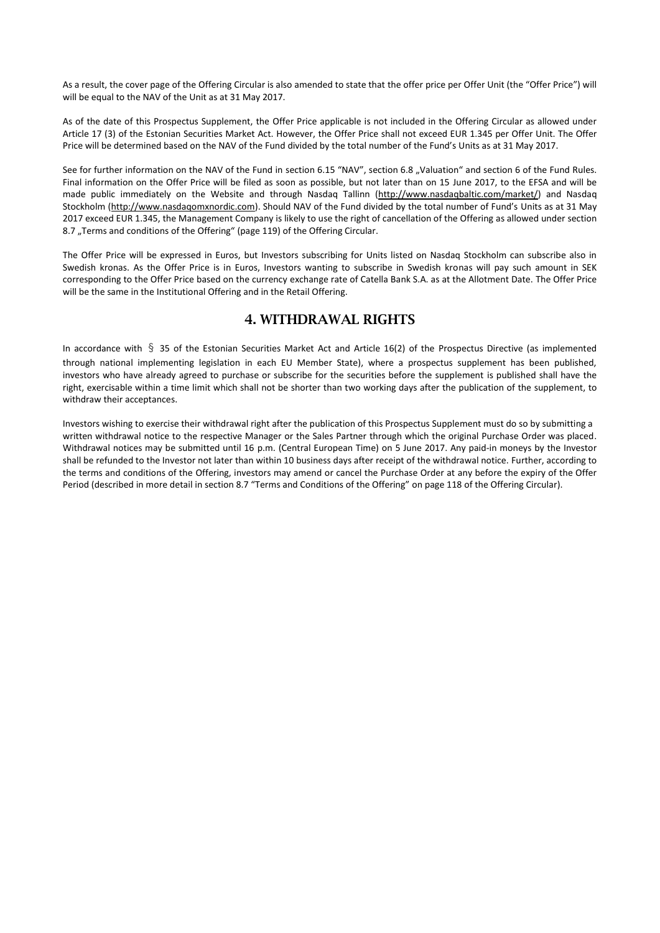As a result, the cover page of the Offering Circular is also amended to state that the offer price per Offer Unit (the "Offer Price") will will be equal to the NAV of the Unit as at 31 May 2017.

As of the date of this Prospectus Supplement, the Offer Price applicable is not included in the Offering Circular as allowed under Article 17 (3) of the Estonian Securities Market Act. However, the Offer Price shall not exceed EUR 1.345 per Offer Unit. The Offer Price will be determined based on the NAV of the Fund divided by the total number of the Fund's Units as at 31 May 2017.

See for further information on the NAV of the Fund in section 6.15 "NAV", section 6.8 "Valuation" and section 6 of the Fund Rules. Final information on the Offer Price will be filed as soon as possible, but not later than on 15 June 2017, to the EFSA and will be made public immediately on the Website and through Nasdaq Tallinn [\(http://www.nasdaqbaltic.com/market/\)](http://www.nasdaqbaltic.com/market/) and Nasdaq Stockholm [\(http://www.nasdaqomxnordic.com\)](http://www.nasdaqomxnordic.com/). Should NAV of the Fund divided by the total number of Fund's Units as at 31 May 2017 exceed EUR 1.345, the Management Company is likely to use the right of cancellation of the Offering as allowed under section 8.7 "Terms and conditions of the Offering" (page 119) of the Offering Circular.

The Offer Price will be expressed in Euros, but Investors subscribing for Units listed on Nasdaq Stockholm can subscribe also in Swedish kronas. As the Offer Price is in Euros, Investors wanting to subscribe in Swedish kronas will pay such amount in SEK corresponding to the Offer Price based on the currency exchange rate of Catella Bank S.A. as at the Allotment Date. The Offer Price will be the same in the Institutional Offering and in the Retail Offering.

### 4. WITHDRAWAL RIGHTS

In accordance with § 35 of the Estonian Securities Market Act and Article 16(2) of the Prospectus Directive (as implemented through national implementing legislation in each EU Member State), where a prospectus supplement has been published, investors who have already agreed to purchase or subscribe for the securities before the supplement is published shall have the right, exercisable within a time limit which shall not be shorter than two working days after the publication of the supplement, to withdraw their acceptances.

Investors wishing to exercise their withdrawal right after the publication of this Prospectus Supplement must do so by submitting a written withdrawal notice to the respective Manager or the Sales Partner through which the original Purchase Order was placed. Withdrawal notices may be submitted until 16 p.m. (Central European Time) on 5 June 2017. Any paid-in moneys by the Investor shall be refunded to the Investor not later than within 10 business days after receipt of the withdrawal notice. Further, according to the terms and conditions of the Offering, investors may amend or cancel the Purchase Order at any before the expiry of the Offer Period (described in more detail in section 8.7 "Terms and Conditions of the Offering" on page 118 of the Offering Circular).